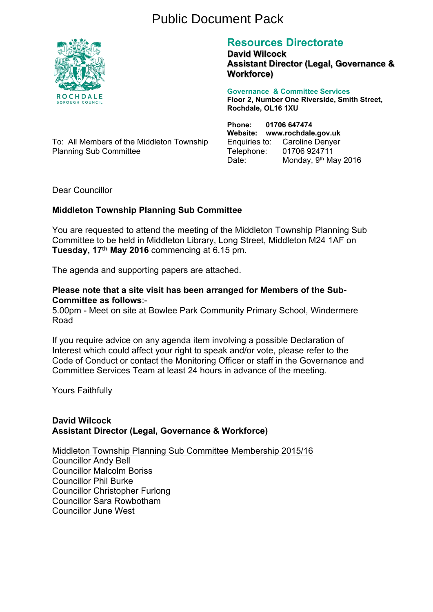# Public Document Pack



# **Resources Directorate**

**David Wilcock Assistant Director (Legal, Governance & Workforce)**

**Governance & Committee Services Floor 2, Number One Riverside, Smith Street, Rochdale, OL16 1XU**

To: All Members of the Middleton Township Planning Sub Committee

**Phone: 01706 647474 Website: www.rochdale.gov.uk** Enquiries to: Caroline Denyer Telephone: 01706 924711 Date: Monday, 9<sup>th</sup> May 2016

Dear Councillor

# **Middleton Township Planning Sub Committee**

You are requested to attend the meeting of the Middleton Township Planning Sub Committee to be held in Middleton Library, Long Street, Middleton M24 1AF on **Tuesday, 17th May 2016** commencing at 6.15 pm.

The agenda and supporting papers are attached.

# **Please note that a site visit has been arranged for Members of the Sub-Committee as follows**:-

5.00pm - Meet on site at Bowlee Park Community Primary School, Windermere Road

If you require advice on any agenda item involving a possible Declaration of Interest which could affect your right to speak and/or vote, please refer to the Code of Conduct or contact the Monitoring Officer or staff in the Governance and Committee Services Team at least 24 hours in advance of the meeting.

Yours Faithfully

# **David Wilcock Assistant Director (Legal, Governance & Workforce)**

Middleton Township Planning Sub Committee Membership 2015/16 Councillor Andy Bell Councillor Malcolm Boriss Councillor Phil Burke Councillor Christopher Furlong Councillor Sara Rowbotham Councillor June West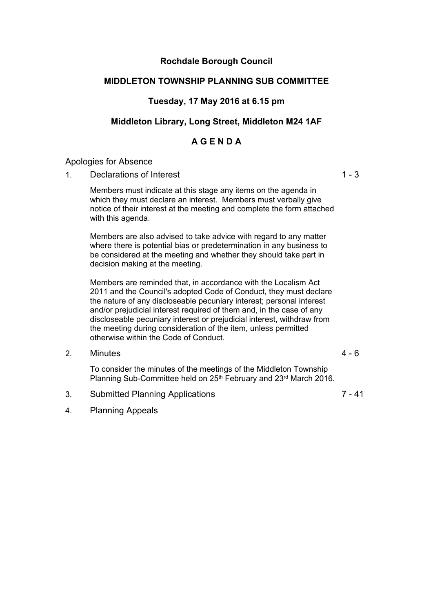# **Rochdale Borough Council**

# **MIDDLETON TOWNSHIP PLANNING SUB COMMITTEE**

# **Tuesday, 17 May 2016 at 6.15 pm**

# **Middleton Library, Long Street, Middleton M24 1AF**

# **A G E N D A**

# Apologies for Absence

1. Declarations of Interest 1 - 3

Members must indicate at this stage any items on the agenda in which they must declare an interest. Members must verbally give notice of their interest at the meeting and complete the form attached with this agenda.

Members are also advised to take advice with regard to any matter where there is potential bias or predetermination in any business to be considered at the meeting and whether they should take part in decision making at the meeting.

Members are reminded that, in accordance with the Localism Act 2011 and the Council's adopted Code of Conduct, they must declare the nature of any discloseable pecuniary interest; personal interest and/or prejudicial interest required of them and, in the case of any discloseable pecuniary interest or prejudicial interest, withdraw from the meeting during consideration of the item, unless permitted otherwise within the Code of Conduct.

2. Minutes 4 - 6

To consider the minutes of the meetings of the Middleton Township Planning Sub-Committee held on 25<sup>th</sup> February and 23<sup>rd</sup> March 2016.

3. Submitted Planning Applications 7 - 41

4. Planning Appeals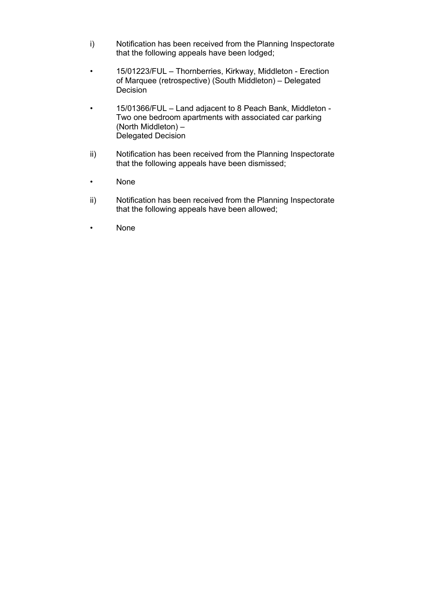- i) Notification has been received from the Planning Inspectorate that the following appeals have been lodged;
- 15/01223/FUL Thornberries, Kirkway, Middleton Erection of Marquee (retrospective) (South Middleton) – Delegated Decision
- 15/01366/FUL Land adjacent to 8 Peach Bank, Middleton Two one bedroom apartments with associated car parking (North Middleton) – Delegated Decision
- ii) Notification has been received from the Planning Inspectorate that the following appeals have been dismissed;
- None
- ii) Notification has been received from the Planning Inspectorate that the following appeals have been allowed;
- None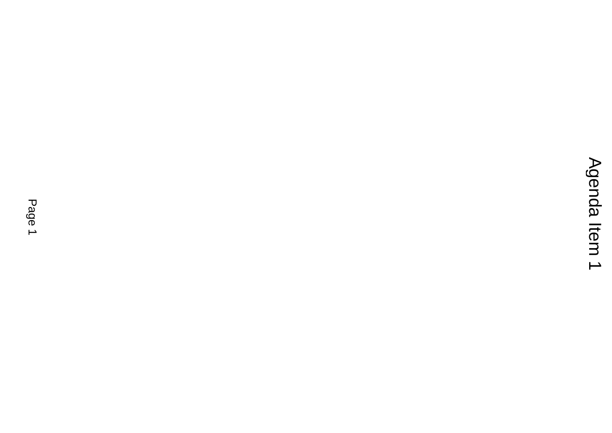# $\mathrm{A}$ genda Item 1 $\mathrm{P}$ agenda Item 1 $\mathrm{P}$ agenda Item 1 $\mathrm{P}$ agenda Item 1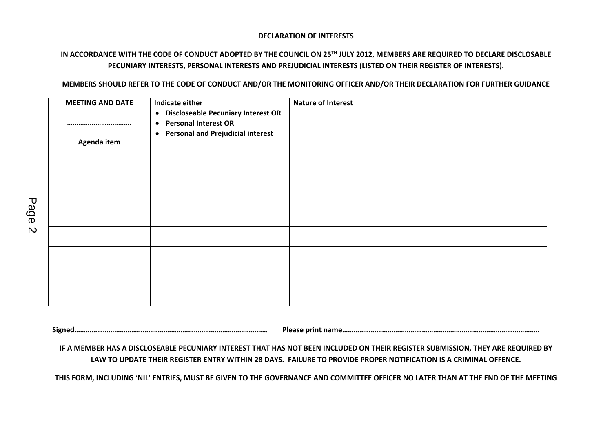#### **DECLARATION OF INTERESTS**

# IN ACCORDANCE WITH THE CODE OF CONDUCT ADOPTED BY THE COUNCIL ON 25TH JULY 2012, MEMBERS ARE REQUIRED TO DECLARE DISCLOSABLE **PECUNIARY INTERESTS, PERSONAL INTERESTS AND PREJUDICIAL INTERESTS (LISTED ON THEIR REGISTER OF INTERESTS).**

#### MEMBERS SHOULD REFER TO THE CODE OF CONDUCT AND/OR THE MONITORING OFFICER AND/OR THEIR DECLARATION FOR FURTHER GUIDANCE

| <b>MEETING AND DATE</b><br><br>Agenda item | Indicate either<br>• Discloseable Pecuniary Interest OR<br><b>Personal Interest OR</b><br>$\bullet$<br>• Personal and Prejudicial interest | <b>Nature of Interest</b> |
|--------------------------------------------|--------------------------------------------------------------------------------------------------------------------------------------------|---------------------------|
|                                            |                                                                                                                                            |                           |
|                                            |                                                                                                                                            |                           |
|                                            |                                                                                                                                            |                           |
|                                            |                                                                                                                                            |                           |
|                                            |                                                                                                                                            |                           |
|                                            |                                                                                                                                            |                           |
|                                            |                                                                                                                                            |                           |
|                                            |                                                                                                                                            |                           |
|                                            |                                                                                                                                            |                           |
|                                            |                                                                                                                                            |                           |
|                                            |                                                                                                                                            |                           |

**Signed………………………………………………………………………………………… Please print name…………………………………………………………………………………………..**

IF A MEMBER HAS A DISCLOSEABLE PECUNIARY INTEREST THAT HAS NOT BEEN INCLUDED ON THEIR REGISTER SUBMISSION, THEY ARE REQUIRED BY LAW TO UPDATE THEIR REGISTER ENTRY WITHIN 28 DAYS. FAILURE TO PROVIDE PROPER NOTIFICATION IS A CRIMINAL OFFENCE.

THIS FORM, INCLUDING 'NIL' ENTRIES, MUST BE GIVEN TO THE GOVERNANCE AND COMMITTEE OFFICER NO LATER THAN AT THE END OF THE MEETING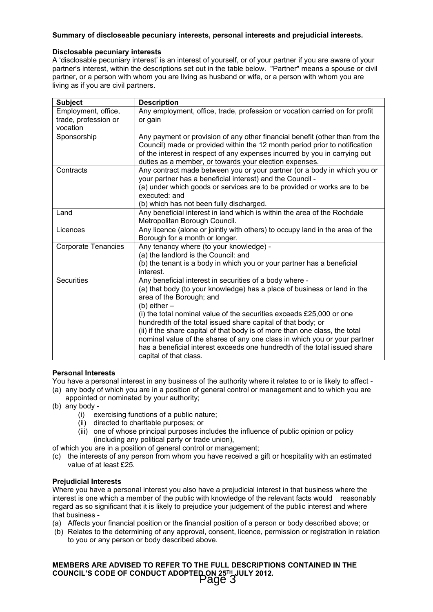#### **Summary of discloseable pecuniary interests, personal interests and prejudicial interests.**

#### **Disclosable pecuniary interests**

A 'disclosable pecuniary interest' is an interest of yourself, or of your partner if you are aware of your partner's interest, within the descriptions set out in the table below. "Partner" means a spouse or civil partner, or a person with whom you are living as husband or wife, or a person with whom you are living as if you are civil partners.

| <b>Subject</b>             | <b>Description</b>                                                                                                                    |
|----------------------------|---------------------------------------------------------------------------------------------------------------------------------------|
| Employment, office,        | Any employment, office, trade, profession or vocation carried on for profit                                                           |
| trade, profession or       | or gain                                                                                                                               |
| vocation                   |                                                                                                                                       |
| Sponsorship                | Any payment or provision of any other financial benefit (other than from the                                                          |
|                            | Council) made or provided within the 12 month period prior to notification                                                            |
|                            | of the interest in respect of any expenses incurred by you in carrying out                                                            |
|                            | duties as a member, or towards your election expenses.                                                                                |
| Contracts                  | Any contract made between you or your partner (or a body in which you or<br>your partner has a beneficial interest) and the Council - |
|                            | (a) under which goods or services are to be provided or works are to be<br>executed: and                                              |
|                            | (b) which has not been fully discharged.                                                                                              |
| Land                       | Any beneficial interest in land which is within the area of the Rochdale                                                              |
|                            | Metropolitan Borough Council.                                                                                                         |
| Licences                   | Any licence (alone or jointly with others) to occupy land in the area of the                                                          |
|                            | Borough for a month or longer.                                                                                                        |
| <b>Corporate Tenancies</b> | Any tenancy where (to your knowledge) -                                                                                               |
|                            | (a) the landlord is the Council: and                                                                                                  |
|                            | (b) the tenant is a body in which you or your partner has a beneficial<br>interest.                                                   |
| <b>Securities</b>          | Any beneficial interest in securities of a body where -                                                                               |
|                            | (a) that body (to your knowledge) has a place of business or land in the<br>area of the Borough; and                                  |
|                            | $(b)$ either $-$                                                                                                                      |
|                            | (i) the total nominal value of the securities exceeds £25,000 or one                                                                  |
|                            | hundredth of the total issued share capital of that body; or                                                                          |
|                            | (ii) if the share capital of that body is of more than one class, the total                                                           |
|                            | nominal value of the shares of any one class in which you or your partner                                                             |
|                            | has a beneficial interest exceeds one hundredth of the total issued share                                                             |
|                            | capital of that class.                                                                                                                |

#### **Personal Interests**

- You have a personal interest in any business of the authority where it relates to or is likely to affect -
- (a) any body of which you are in a position of general control or management and to which you are appointed or nominated by your authority;
- (b) any body
	- (i) exercising functions of a public nature;
	- (ii) directed to charitable purposes; or
	- (iii) one of whose principal purposes includes the influence of public opinion or policy (including any political party or trade union),
- of which you are in a position of general control or management;
- (c) the interests of any person from whom you have received a gift or hospitality with an estimated value of at least £25.

#### **Prejudicial Interests**

Where you have a personal interest you also have a prejudicial interest in that business where the interest is one which a member of the public with knowledge of the relevant facts would reasonably regard as so significant that it is likely to prejudice your judgement of the public interest and where that business -

- (a) Affects your financial position or the financial position of a person or body described above; or
- (b) Relates to the determining of any approval, consent, licence, permission or registration in relation to you or any person or body described above.

**MEMBERS ARE ADVISED TO REFER TO THE FULL DESCRIPTIONS CONTAINED IN THE COUNCIL'S CODE OF CONDUCT ADOPTED ON 25TH JULY 2012.** Page 3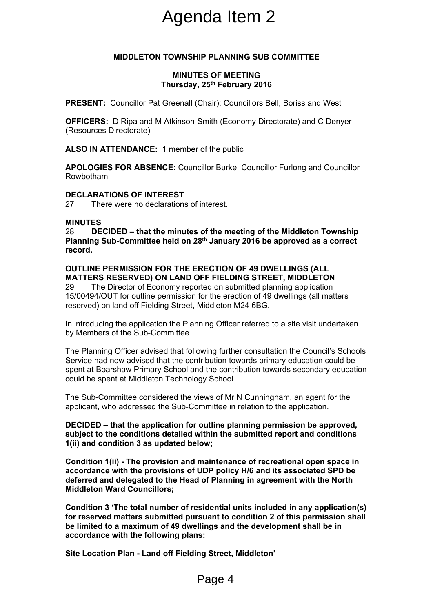# Agenda Item 2

# **MIDDLETON TOWNSHIP PLANNING SUB COMMITTEE**

## **MINUTES OF MEETING Thursday, 25th February 2016**

**PRESENT:** Councillor Pat Greenall (Chair); Councillors Bell, Boriss and West

**OFFICERS:** D Ripa and M Atkinson-Smith (Economy Directorate) and C Denyer (Resources Directorate)

**ALSO IN ATTENDANCE:** 1 member of the public

**APOLOGIES FOR ABSENCE:** Councillor Burke, Councillor Furlong and Councillor Rowbotham

## **DECLARATIONS OF INTEREST**

27 There were no declarations of interest.

## **MINUTES**

28 **DECIDED – that the minutes of the meeting of the Middleton Township Planning Sub-Committee held on 28th January 2016 be approved as a correct record.**

**OUTLINE PERMISSION FOR THE ERECTION OF 49 DWELLINGS (ALL MATTERS RESERVED) ON LAND OFF FIELDING STREET, MIDDLETON**

29 The Director of Economy reported on submitted planning application 15/00494/OUT for outline permission for the erection of 49 dwellings (all matters reserved) on land off Fielding Street, Middleton M24 6BG.

In introducing the application the Planning Officer referred to a site visit undertaken by Members of the Sub-Committee.

The Planning Officer advised that following further consultation the Council's Schools Service had now advised that the contribution towards primary education could be spent at Boarshaw Primary School and the contribution towards secondary education could be spent at Middleton Technology School. Agenda Item 2<br>
Township PLANNING sub C<br>
MINUTES OF MEETING<br>
Thursday, 25<sup>th</sup> February 2016<br>
Greenall (Chair); Councillors Be<br>
Atkinson-Smith (Economy Direc<br>
1 member of the public<br>
CE: Councillor Burke, Councillor<br>
REST<br>
m

The Sub-Committee considered the views of Mr N Cunningham, an agent for the applicant, who addressed the Sub-Committee in relation to the application.

**DECIDED – that the application for outline planning permission be approved, subject to the conditions detailed within the submitted report and conditions 1(ii) and condition 3 as updated below;**

**Condition 1(ii) - The provision and maintenance of recreational open space in accordance with the provisions of UDP policy H/6 and its associated SPD be deferred and delegated to the Head of Planning in agreement with the North Middleton Ward Councillors;**

**Condition 3 'The total number of residential units included in any application(s) for reserved matters submitted pursuant to condition 2 of this permission shall be limited to a maximum of 49 dwellings and the development shall be in accordance with the following plans:**

**Site Location Plan - Land off Fielding Street, Middleton'**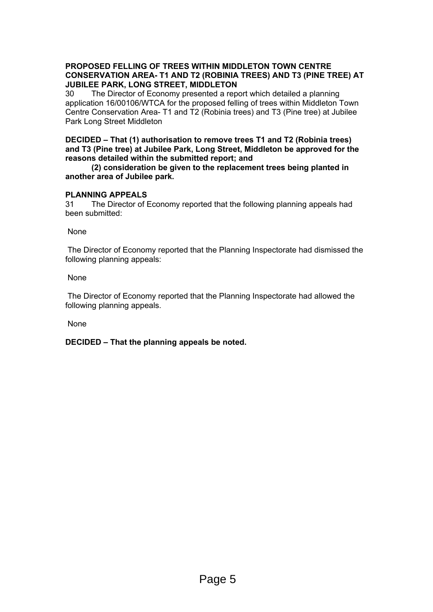# **PROPOSED FELLING OF TREES WITHIN MIDDLETON TOWN CENTRE CONSERVATION AREA- T1 AND T2 (ROBINIA TREES) AND T3 (PINE TREE) AT JUBILEE PARK, LONG STREET, MIDDLETON**

30 The Director of Economy presented a report which detailed a planning application 16/00106/WTCA for the proposed felling of trees within Middleton Town Centre Conservation Area- T1 and T2 (Robinia trees) and T3 (Pine tree) at Jubilee Park Long Street Middleton

## **DECIDED – That (1) authorisation to remove trees T1 and T2 (Robinia trees) and T3 (Pine tree) at Jubilee Park, Long Street, Middleton be approved for the reasons detailed within the submitted report; and**

# **(2) consideration be given to the replacement trees being planted in another area of Jubilee park.**

# **PLANNING APPEALS**

31 The Director of Economy reported that the following planning appeals had been submitted:

None

The Director of Economy reported that the Planning Inspectorate had dismissed the following planning appeals:

None

The Director of Economy reported that the Planning Inspectorate had allowed the following planning appeals.

None

**DECIDED – That the planning appeals be noted.**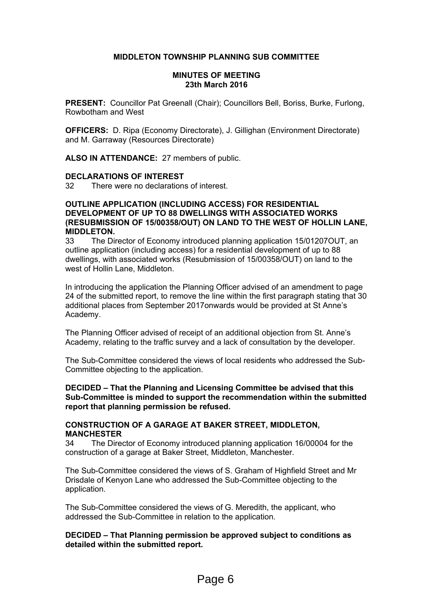# **MIDDLETON TOWNSHIP PLANNING SUB COMMITTEE**

#### **MINUTES OF MEETING 23th March 2016**

**PRESENT:** Councillor Pat Greenall (Chair); Councillors Bell, Boriss, Burke, Furlong, Rowbotham and West

**OFFICERS:** D. Ripa (Economy Directorate), J. Gillighan (Environment Directorate) and M. Garraway (Resources Directorate)

**ALSO IN ATTENDANCE:** 27 members of public.

#### **DECLARATIONS OF INTEREST**

32 There were no declarations of interest.

#### **OUTLINE APPLICATION (INCLUDING ACCESS) FOR RESIDENTIAL DEVELOPMENT OF UP TO 88 DWELLINGS WITH ASSOCIATED WORKS (RESUBMISSION OF 15/00358/OUT) ON LAND TO THE WEST OF HOLLIN LANE, MIDDLETON.**

33 The Director of Economy introduced planning application 15/01207OUT, an outline application (including access) for a residential development of up to 88 dwellings, with associated works (Resubmission of 15/00358/OUT) on land to the west of Hollin Lane, Middleton.

In introducing the application the Planning Officer advised of an amendment to page 24 of the submitted report, to remove the line within the first paragraph stating that 30 additional places from September 2017onwards would be provided at St Anne's Academy.

The Planning Officer advised of receipt of an additional objection from St. Anne's Academy, relating to the traffic survey and a lack of consultation by the developer.

The Sub-Committee considered the views of local residents who addressed the Sub-Committee objecting to the application.

**DECIDED – That the Planning and Licensing Committee be advised that this Sub-Committee is minded to support the recommendation within the submitted report that planning permission be refused.** 

# **CONSTRUCTION OF A GARAGE AT BAKER STREET, MIDDLETON, MANCHESTER**

34 The Director of Economy introduced planning application 16/00004 for the construction of a garage at Baker Street, Middleton, Manchester.

The Sub-Committee considered the views of S. Graham of Highfield Street and Mr Drisdale of Kenyon Lane who addressed the Sub-Committee objecting to the application.

The Sub-Committee considered the views of G. Meredith, the applicant, who addressed the Sub-Committee in relation to the application.

# **DECIDED – That Planning permission be approved subject to conditions as detailed within the submitted report.**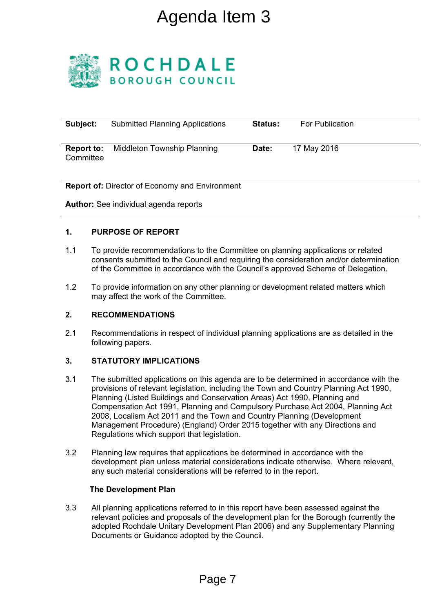# Agenda Item 3



| Subject:                       | <b>Submitted Planning Applications</b> | <b>Status:</b> | For Publication |
|--------------------------------|----------------------------------------|----------------|-----------------|
| <b>Report to:</b><br>Committee | Middleton Township Planning            | Date:          | 17 May 2016     |

**Report of:** Director of Economy and Environment

**Author:** See individual agenda reports

# **1. PURPOSE OF REPORT**

- 1.1 To provide recommendations to the Committee on planning applications or related consents submitted to the Council and requiring the consideration and/or determination of the Committee in accordance with the Council's approved Scheme of Delegation.
- 1.2 To provide information on any other planning or development related matters which may affect the work of the Committee.

# **2. RECOMMENDATIONS**

2.1 Recommendations in respect of individual planning applications are as detailed in the following papers.

# **3. STATUTORY IMPLICATIONS**

- 3.1 The submitted applications on this agenda are to be determined in accordance with the provisions of relevant legislation, including the Town and Country Planning Act 1990, Planning (Listed Buildings and Conservation Areas) Act 1990, Planning and Compensation Act 1991, Planning and Compulsory Purchase Act 2004, Planning Act 2008, Localism Act 2011 and the Town and Country Planning (Development Management Procedure) (England) Order 2015 together with any Directions and Regulations which support that legislation. Agenda Item 3<br>
H D A L E<br>
GH COUNCIL<br>
Anning Applications statu<br>
State<br>
The COUNCIL<br>
State<br>
The State State State<br>
PORT<br>
PORT<br>
PORT<br>
PORT<br>
PORT<br>
PORT<br>
PORT<br>
Read are posts and requiring or de<br>
A do the Council and requirin
- 3.2 Planning law requires that applications be determined in accordance with the development plan unless material considerations indicate otherwise. Where relevant, any such material considerations will be referred to in the report.

# **The Development Plan**

3.3 All planning applications referred to in this report have been assessed against the relevant policies and proposals of the development plan for the Borough (currently the adopted Rochdale Unitary Development Plan 2006) and any Supplementary Planning Documents or Guidance adopted by the Council.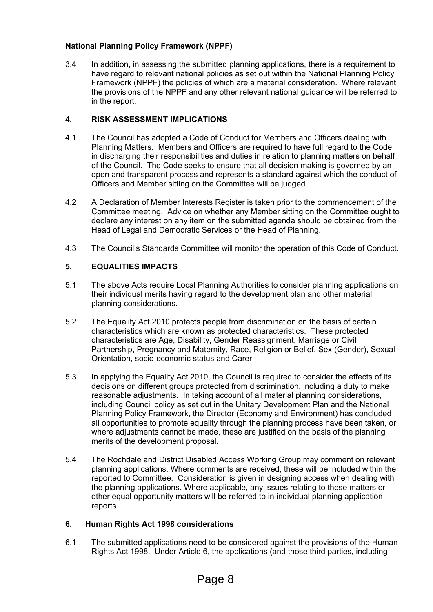# **National Planning Policy Framework (NPPF)**

3.4 In addition, in assessing the submitted planning applications, there is a requirement to have regard to relevant national policies as set out within the National Planning Policy Framework (NPPF) the policies of which are a material consideration. Where relevant, the provisions of the NPPF and any other relevant national guidance will be referred to in the report.

# **4. RISK ASSESSMENT IMPLICATIONS**

- 4.1 The Council has adopted a Code of Conduct for Members and Officers dealing with Planning Matters. Members and Officers are required to have full regard to the Code in discharging their responsibilities and duties in relation to planning matters on behalf of the Council. The Code seeks to ensure that all decision making is governed by an open and transparent process and represents a standard against which the conduct of Officers and Member sitting on the Committee will be judged.
- 4.2 A Declaration of Member Interests Register is taken prior to the commencement of the Committee meeting. Advice on whether any Member sitting on the Committee ought to declare any interest on any item on the submitted agenda should be obtained from the Head of Legal and Democratic Services or the Head of Planning.
- 4.3 The Council's Standards Committee will monitor the operation of this Code of Conduct.

# **5. EQUALITIES IMPACTS**

- 5.1 The above Acts require Local Planning Authorities to consider planning applications on their individual merits having regard to the development plan and other material planning considerations.
- 5.2 The Equality Act 2010 protects people from discrimination on the basis of certain characteristics which are known as protected characteristics. These protected characteristics are Age, Disability, Gender Reassignment, Marriage or Civil Partnership, Pregnancy and Maternity, Race, Religion or Belief, Sex (Gender), Sexual Orientation, socio-economic status and Carer.
- 5.3 In applying the Equality Act 2010, the Council is required to consider the effects of its decisions on different groups protected from discrimination, including a duty to make reasonable adjustments. In taking account of all material planning considerations, including Council policy as set out in the Unitary Development Plan and the National Planning Policy Framework, the Director (Economy and Environment) has concluded all opportunities to promote equality through the planning process have been taken, or where adjustments cannot be made, these are justified on the basis of the planning merits of the development proposal.
- 5.4 The Rochdale and District Disabled Access Working Group may comment on relevant planning applications. Where comments are received, these will be included within the reported to Committee. Consideration is given in designing access when dealing with the planning applications. Where applicable, any issues relating to these matters or other equal opportunity matters will be referred to in individual planning application reports.

# **6. Human Rights Act 1998 considerations**

6.1 The submitted applications need to be considered against the provisions of the Human Rights Act 1998. Under Article 6, the applications (and those third parties, including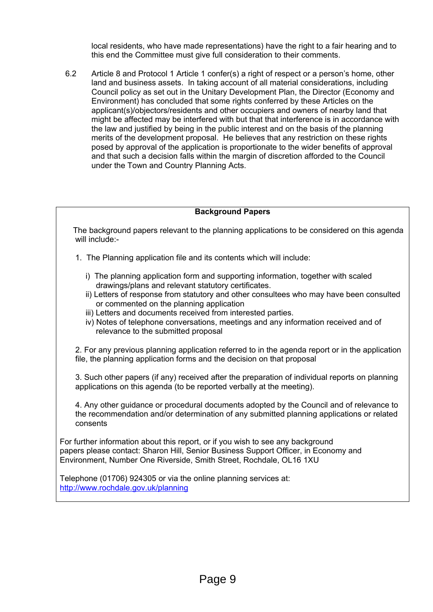local residents, who have made representations) have the right to a fair hearing and to this end the Committee must give full consideration to their comments.

6.2 Article 8 and Protocol 1 Article 1 confer(s) a right of respect or a person's home, other land and business assets. In taking account of all material considerations, including Council policy as set out in the Unitary Development Plan, the Director (Economy and Environment) has concluded that some rights conferred by these Articles on the applicant(s)/objectors/residents and other occupiers and owners of nearby land that might be affected may be interfered with but that that interference is in accordance with the law and justified by being in the public interest and on the basis of the planning merits of the development proposal. He believes that any restriction on these rights posed by approval of the application is proportionate to the wider benefits of approval and that such a decision falls within the margin of discretion afforded to the Council under the Town and Country Planning Acts.

# **Background Papers**

 The background papers relevant to the planning applications to be considered on this agenda will include:-

- 1. The Planning application file and its contents which will include:
	- i) The planning application form and supporting information, together with scaled drawings/plans and relevant statutory certificates.
	- ii) Letters of response from statutory and other consultees who may have been consulted or commented on the planning application
	- iii) Letters and documents received from interested parties.
	- iv) Notes of telephone conversations, meetings and any information received and of relevance to the submitted proposal

2. For any previous planning application referred to in the agenda report or in the application file, the planning application forms and the decision on that proposal

3. Such other papers (if any) received after the preparation of individual reports on planning applications on this agenda (to be reported verbally at the meeting).

 4. Any other guidance or procedural documents adopted by the Council and of relevance to the recommendation and/or determination of any submitted planning applications or related consents

For further information about this report, or if you wish to see any background papers please contact: Sharon Hill, Senior Business Support Officer, in Economy and Environment, Number One Riverside, Smith Street, Rochdale, OL16 1XU

Telephone (01706) 924305 or via the online planning services at: <http://www.rochdale.gov.uk/planning>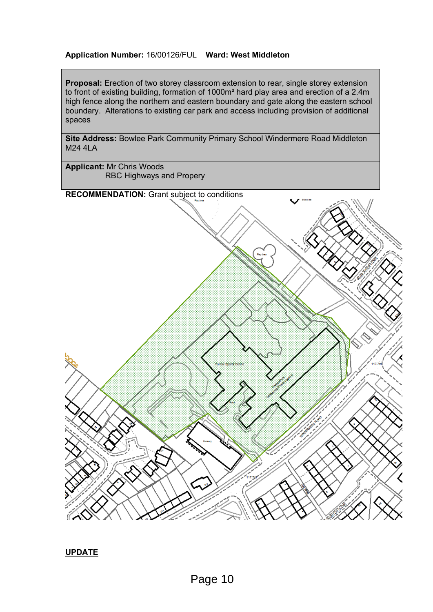# **Application Number:** 16/00126/FUL **Ward: West Middleton**

**Proposal:** Erection of two storey classroom extension to rear, single storey extension to front of existing building, formation of 1000m² hard play area and erection of a 2.4m high fence along the northern and eastern boundary and gate along the eastern school boundary. Alterations to existing car park and access including provision of additional spaces

**Site Address:** Bowlee Park Community Primary School Windermere Road Middleton M24 4LA

**Applicant:** Mr Chris Woods RBC Highways and Propery

**RECOMMENDATION:** Grant subject to conditions



**UPDATE**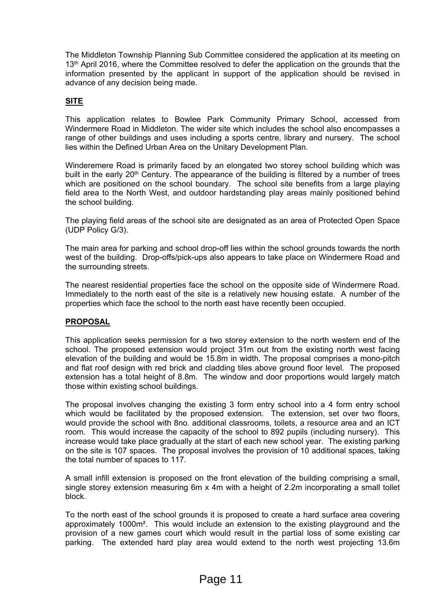The Middleton Township Planning Sub Committee considered the application at its meeting on 13<sup>th</sup> April 2016, where the Committee resolved to defer the application on the grounds that the information presented by the applicant in support of the application should be revised in advance of any decision being made.

# **SITE**

This application relates to Bowlee Park Community Primary School, accessed from Windermere Road in Middleton. The wider site which includes the school also encompasses a range of other buildings and uses including a sports centre, library and nursery. The school lies within the Defined Urban Area on the Unitary Development Plan.

Winderemere Road is primarily faced by an elongated two storey school building which was built in the early 20<sup>th</sup> Century. The appearance of the building is filtered by a number of trees which are positioned on the school boundary. The school site benefits from a large playing field area to the North West, and outdoor hardstanding play areas mainly positioned behind the school building.

The playing field areas of the school site are designated as an area of Protected Open Space (UDP Policy G/3).

The main area for parking and school drop-off lies within the school grounds towards the north west of the building. Drop-offs/pick-ups also appears to take place on Windermere Road and the surrounding streets.

The nearest residential properties face the school on the opposite side of Windermere Road. Immediately to the north east of the site is a relatively new housing estate. A number of the properties which face the school to the north east have recently been occupied.

# **PROPOSAL**

This application seeks permission for a two storey extension to the north western end of the school. The proposed extension would project 31m out from the existing north west facing elevation of the building and would be 15.8m in width. The proposal comprises a mono-pitch and flat roof design with red brick and cladding tiles above ground floor level. The proposed extension has a total height of 8.8m. The window and door proportions would largely match those within existing school buildings.

The proposal involves changing the existing 3 form entry school into a 4 form entry school which would be facilitated by the proposed extension. The extension, set over two floors, would provide the school with 8no. additional classrooms, toilets, a resource area and an ICT room. This would increase the capacity of the school to 892 pupils (including nursery). This increase would take place gradually at the start of each new school year. The existing parking on the site is 107 spaces. The proposal involves the provision of 10 additional spaces, taking the total number of spaces to 117.

A small infill extension is proposed on the front elevation of the building comprising a small, single storey extension measuring 6m x 4m with a height of 2.2m incorporating a small toilet block.

To the north east of the school grounds it is proposed to create a hard surface area covering approximately 1000m². This would include an extension to the existing playground and the provision of a new games court which would result in the partial loss of some existing car parking. The extended hard play area would extend to the north west projecting 13.6m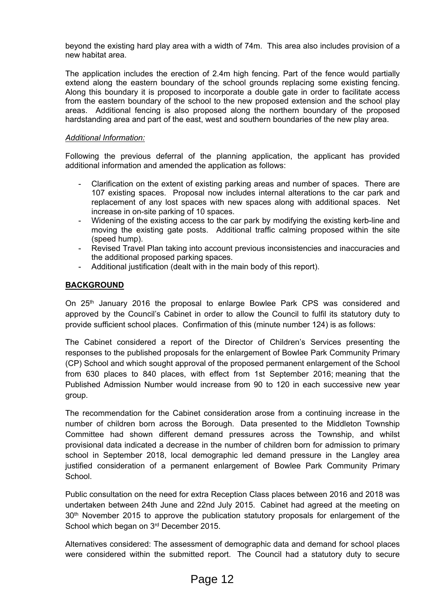beyond the existing hard play area with a width of 74m. This area also includes provision of a new habitat area.

The application includes the erection of 2.4m high fencing. Part of the fence would partially extend along the eastern boundary of the school grounds replacing some existing fencing. Along this boundary it is proposed to incorporate a double gate in order to facilitate access from the eastern boundary of the school to the new proposed extension and the school play areas. Additional fencing is also proposed along the northern boundary of the proposed hardstanding area and part of the east, west and southern boundaries of the new play area.

# *Additional Information:*

Following the previous deferral of the planning application, the applicant has provided additional information and amended the application as follows:

- Clarification on the extent of existing parking areas and number of spaces. There are 107 existing spaces. Proposal now includes internal alterations to the car park and replacement of any lost spaces with new spaces along with additional spaces. Net increase in on-site parking of 10 spaces.
- Widening of the existing access to the car park by modifying the existing kerb-line and moving the existing gate posts. Additional traffic calming proposed within the site (speed hump).
- Revised Travel Plan taking into account previous inconsistencies and inaccuracies and the additional proposed parking spaces.
- Additional justification (dealt with in the main body of this report).

# **BACKGROUND**

On  $25<sup>th</sup>$  January 2016 the proposal to enlarge Bowlee Park CPS was considered and approved by the Council's Cabinet in order to allow the Council to fulfil its statutory duty to provide sufficient school places. Confirmation of this (minute number 124) is as follows:

The Cabinet considered a report of the Director of Children's Services presenting the responses to the published proposals for the enlargement of Bowlee Park Community Primary (CP) School and which sought approval of the proposed permanent enlargement of the School from 630 places to 840 places, with effect from 1st September 2016; meaning that the Published Admission Number would increase from 90 to 120 in each successive new year group.

The recommendation for the Cabinet consideration arose from a continuing increase in the number of children born across the Borough. Data presented to the Middleton Township Committee had shown different demand pressures across the Township, and whilst provisional data indicated a decrease in the number of children born for admission to primary school in September 2018, local demographic led demand pressure in the Langley area justified consideration of a permanent enlargement of Bowlee Park Community Primary School.

Public consultation on the need for extra Reception Class places between 2016 and 2018 was undertaken between 24th June and 22nd July 2015. Cabinet had agreed at the meeting on 30<sup>th</sup> November 2015 to approve the publication statutory proposals for enlargement of the School which began on 3rd December 2015.

Alternatives considered: The assessment of demographic data and demand for school places were considered within the submitted report. The Council had a statutory duty to secure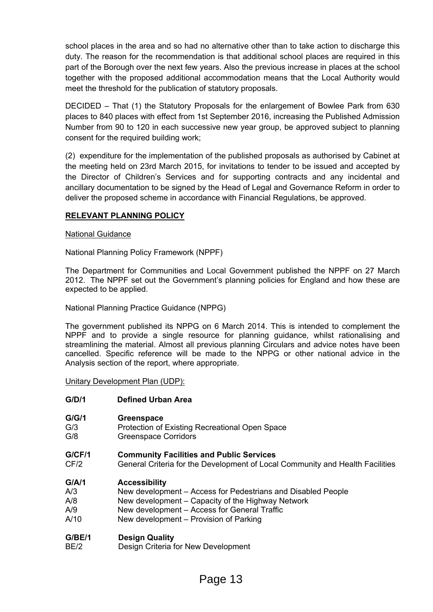school places in the area and so had no alternative other than to take action to discharge this duty. The reason for the recommendation is that additional school places are required in this part of the Borough over the next few years. Also the previous increase in places at the school together with the proposed additional accommodation means that the Local Authority would meet the threshold for the publication of statutory proposals.

DECIDED – That (1) the Statutory Proposals for the enlargement of Bowlee Park from 630 places to 840 places with effect from 1st September 2016, increasing the Published Admission Number from 90 to 120 in each successive new year group, be approved subject to planning consent for the required building work;

(2) expenditure for the implementation of the published proposals as authorised by Cabinet at the meeting held on 23rd March 2015, for invitations to tender to be issued and accepted by the Director of Children's Services and for supporting contracts and any incidental and ancillary documentation to be signed by the Head of Legal and Governance Reform in order to deliver the proposed scheme in accordance with Financial Regulations, be approved.

# **RELEVANT PLANNING POLICY**

# National Guidance

National Planning Policy Framework (NPPF)

The Department for Communities and Local Government published the NPPF on 27 March 2012. The NPPF set out the Government's planning policies for England and how these are expected to be applied.

National Planning Practice Guidance (NPPG)

The government published its NPPG on 6 March 2014. This is intended to complement the NPPF and to provide a single resource for planning guidance, whilst rationalising and streamlining the material. Almost all previous planning Circulars and advice notes have been cancelled. Specific reference will be made to the NPPG or other national advice in the Analysis section of the report, where appropriate.

Unitary Development Plan (UDP):

# **G/D/1 Defined Urban Area**

- **G/G/1 Greenspace**
- G/3 Protection of Existing Recreational Open Space
- G/8 Greenspace Corridors

# **G/CF/1 Community Facilities and Public Services**

CF/2 General Criteria for the Development of Local Community and Health Facilities

# **G/A/1 Accessibility**

- A/3 New development Access for Pedestrians and Disabled People
- A/8 New development Capacity of the Highway Network
- A/9 New development Access for General Traffic
- A/10 New development Provision of Parking

# **G/BE/1 Design Quality**

BE/2 Design Criteria for New Development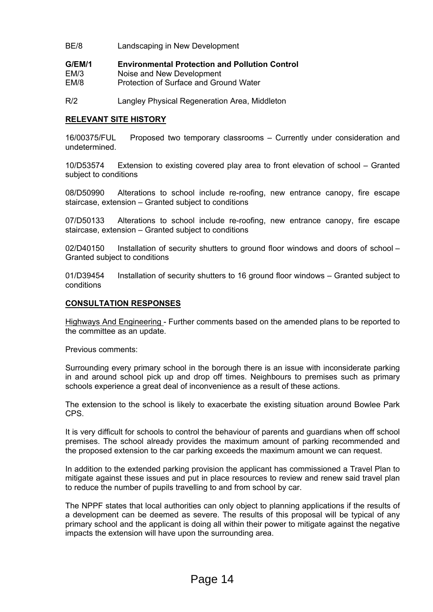- BE/8 Landscaping in New Development
- **G/EM/1 Environmental Protection and Pollution Control**
- EM/3 Noise and New Development
- EM/8 Protection of Surface and Ground Water
- R/2 Langley Physical Regeneration Area, Middleton

## **RELEVANT SITE HISTORY**

16/00375/FUL Proposed two temporary classrooms – Currently under consideration and undetermined.

10/D53574 Extension to existing covered play area to front elevation of school – Granted subject to conditions

08/D50990 Alterations to school include re-roofing, new entrance canopy, fire escape staircase, extension – Granted subject to conditions

07/D50133 Alterations to school include re-roofing, new entrance canopy, fire escape staircase, extension – Granted subject to conditions

02/D40150 Installation of security shutters to ground floor windows and doors of school – Granted subject to conditions

01/D39454 Installation of security shutters to 16 ground floor windows – Granted subject to conditions

## **CONSULTATION RESPONSES**

Highways And Engineering - Further comments based on the amended plans to be reported to the committee as an update.

Previous comments:

Surrounding every primary school in the borough there is an issue with inconsiderate parking in and around school pick up and drop off times. Neighbours to premises such as primary schools experience a great deal of inconvenience as a result of these actions.

The extension to the school is likely to exacerbate the existing situation around Bowlee Park CPS.

It is very difficult for schools to control the behaviour of parents and guardians when off school premises. The school already provides the maximum amount of parking recommended and the proposed extension to the car parking exceeds the maximum amount we can request.

In addition to the extended parking provision the applicant has commissioned a Travel Plan to mitigate against these issues and put in place resources to review and renew said travel plan to reduce the number of pupils travelling to and from school by car.

The NPPF states that local authorities can only object to planning applications if the results of a development can be deemed as severe. The results of this proposal will be typical of any primary school and the applicant is doing all within their power to mitigate against the negative impacts the extension will have upon the surrounding area.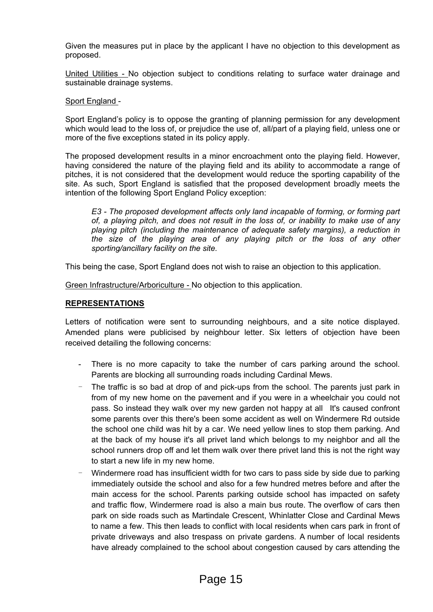Given the measures put in place by the applicant I have no objection to this development as proposed.

United Utilities - No objection subject to conditions relating to surface water drainage and sustainable drainage systems.

## Sport England -

Sport England's policy is to oppose the granting of planning permission for any development which would lead to the loss of, or prejudice the use of, all/part of a playing field, unless one or more of the five exceptions stated in its policy apply.

The proposed development results in a minor encroachment onto the playing field. However, having considered the nature of the playing field and its ability to accommodate a range of pitches, it is not considered that the development would reduce the sporting capability of the site. As such, Sport England is satisfied that the proposed development broadly meets the intention of the following Sport England Policy exception:

*E3 - The proposed development affects only land incapable of forming, or forming part of, a playing pitch, and does not result in the loss of, or inability to make use of any playing pitch (including the maintenance of adequate safety margins), a reduction in the size of the playing area of any playing pitch or the loss of any other sporting/ancillary facility on the site.*

This being the case, Sport England does not wish to raise an objection to this application.

Green Infrastructure/Arboriculture - No objection to this application.

#### **REPRESENTATIONS**

Letters of notification were sent to surrounding neighbours, and a site notice displayed. Amended plans were publicised by neighbour letter. Six letters of objection have been received detailing the following concerns:

- There is no more capacity to take the number of cars parking around the school. Parents are blocking all surrounding roads including Cardinal Mews.
- The traffic is so bad at drop of and pick-ups from the school. The parents just park in from of my new home on the pavement and if you were in a wheelchair you could not pass. So instead they walk over my new garden not happy at all It's caused confront some parents over this there's been some accident as well on Windermere Rd outside the school one child was hit by a car. We need yellow lines to stop them parking. And at the back of my house it's all privet land which belongs to my neighbor and all the school runners drop off and let them walk over there privet land this is not the right way to start a new life in my new home.
- Windermere road has insufficient width for two cars to pass side by side due to parking immediately outside the school and also for a few hundred metres before and after the main access for the school. Parents parking outside school has impacted on safety and traffic flow, Windermere road is also a main bus route. The overflow of cars then park on side roads such as Martindale Crescent, Whinlatter Close and Cardinal Mews to name a few. This then leads to conflict with local residents when cars park in front of private driveways and also trespass on private gardens. A number of local residents have already complained to the school about congestion caused by cars attending the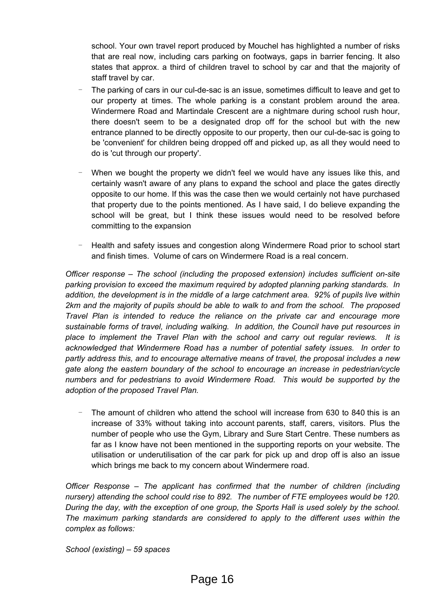school. Your own travel report produced by Mouchel has highlighted a number of risks that are real now, including cars parking on footways, gaps in barrier fencing. It also states that approx. a third of children travel to school by car and that the majority of staff travel by car.

- The parking of cars in our cul-de-sac is an issue, sometimes difficult to leave and get to our property at times. The whole parking is a constant problem around the area. Windermere Road and Martindale Crescent are a nightmare during school rush hour, there doesn't seem to be a designated drop off for the school but with the new entrance planned to be directly opposite to our property, then our cul-de-sac is going to be 'convenient' for children being dropped off and picked up, as all they would need to do is 'cut through our property'.
- When we bought the property we didn't feel we would have any issues like this, and certainly wasn't aware of any plans to expand the school and place the gates directly opposite to our home. If this was the case then we would certainly not have purchased that property due to the points mentioned. As I have said, I do believe expanding the school will be great, but I think these issues would need to be resolved before committing to the expansion
- Health and safety issues and congestion along Windermere Road prior to school start and finish times. Volume of cars on Windermere Road is a real concern.

*Officer response – The school (including the proposed extension) includes sufficient on-site parking provision to exceed the maximum required by adopted planning parking standards. In addition, the development is in the middle of a large catchment area. 92% of pupils live within 2km and the majority of pupils should be able to walk to and from the school. The proposed Travel Plan is intended to reduce the reliance on the private car and encourage more sustainable forms of travel, including walking. In addition, the Council have put resources in place to implement the Travel Plan with the school and carry out regular reviews. It is acknowledged that Windermere Road has a number of potential safety issues. In order to partly address this, and to encourage alternative means of travel, the proposal includes a new gate along the eastern boundary of the school to encourage an increase in pedestrian/cycle numbers and for pedestrians to avoid Windermere Road. This would be supported by the adoption of the proposed Travel Plan.*

The amount of children who attend the school will increase from 630 to 840 this is an increase of 33% without taking into account parents, staff, carers, visitors. Plus the number of people who use the Gym, Library and Sure Start Centre. These numbers as far as I know have not been mentioned in the supporting reports on your website. The utilisation or underutilisation of the car park for pick up and drop off is also an issue which brings me back to my concern about Windermere road.

*Officer Response – The applicant has confirmed that the number of children (including nursery) attending the school could rise to 892. The number of FTE employees would be 120. During the day, with the exception of one group, the Sports Hall is used solely by the school. The maximum parking standards are considered to apply to the different uses within the complex as follows:*

*School (existing) – 59 spaces*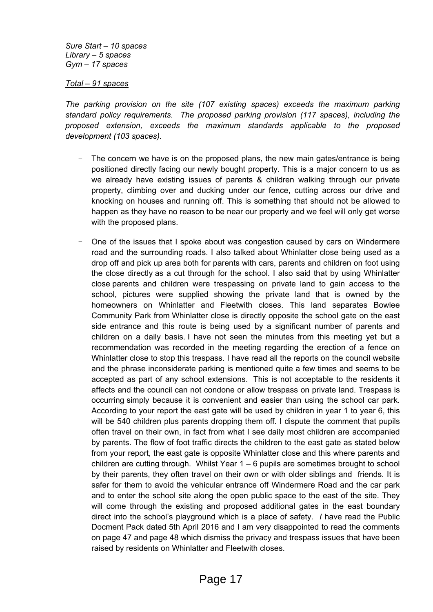*Sure Start – 10 spaces Library – 5 spaces Gym – 17 spaces*

*Total – 91 spaces*

*The parking provision on the site (107 existing spaces) exceeds the maximum parking standard policy requirements. The proposed parking provision (117 spaces), including the proposed extension, exceeds the maximum standards applicable to the proposed development (103 spaces).* 

- The concern we have is on the proposed plans, the new main gates/entrance is being positioned directly facing our newly bought property. This is a major concern to us as we already have existing issues of parents & children walking through our private property, climbing over and ducking under our fence, cutting across our drive and knocking on houses and running off. This is something that should not be allowed to happen as they have no reason to be near our property and we feel will only get worse with the proposed plans.
- One of the issues that I spoke about was congestion caused by cars on Windermere road and the surrounding roads. I also talked about Whinlatter close being used as a drop off and pick up area both for parents with cars, parents and children on foot using the close directly as a cut through for the school. I also said that by using Whinlatter close parents and children were trespassing on private land to gain access to the school, pictures were supplied showing the private land that is owned by the homeowners on Whinlatter and Fleetwith closes. This land separates Bowlee Community Park from Whinlatter close is directly opposite the school gate on the east side entrance and this route is being used by a significant number of parents and children on a daily basis. I have not seen the minutes from this meeting yet but a recommendation was recorded in the meeting regarding the erection of a fence on Whinlatter close to stop this trespass. I have read all the reports on the council website and the phrase inconsiderate parking is mentioned quite a few times and seems to be accepted as part of any school extensions. This is not acceptable to the residents it affects and the council can not condone or allow trespass on private land. Trespass is occurring simply because it is convenient and easier than using the school car park. According to your report the east gate will be used by children in year 1 to year 6, this will be 540 children plus parents dropping them off. I dispute the comment that pupils often travel on their own, in fact from what I see daily most children are accompanied by parents. The flow of foot traffic directs the children to the east gate as stated below from your report, the east gate is opposite Whinlatter close and this where parents and children are cutting through. Whilst Year  $1 - 6$  pupils are sometimes brought to school by their parents, they often travel on their own or with older siblings and friends. It is safer for them to avoid the vehicular entrance off Windermere Road and the car park and to enter the school site along the open public space to the east of the site. They will come through the existing and proposed additional gates in the east boundary direct into the school's playground which is a place of safety. *I* have read the Public Docment Pack dated 5th April 2016 and I am very disappointed to read the comments on page 47 and page 48 which dismiss the privacy and trespass issues that have been raised by residents on Whinlatter and Fleetwith closes.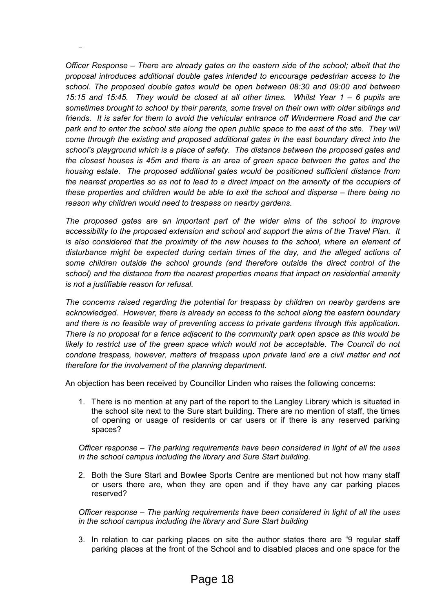*Officer Response – There are already gates on the eastern side of the school; albeit that the proposal introduces additional double gates intended to encourage pedestrian access to the school. The proposed double gates would be open between 08:30 and 09:00 and between 15:15 and 15:45. They would be closed at all other times. Whilst Year 1 – 6 pupils are sometimes brought to school by their parents, some travel on their own with older siblings and friends. It is safer for them to avoid the vehicular entrance off Windermere Road and the car* park and to enter the school site along the open public space to the east of the site. They will *come through the existing and proposed additional gates in the east boundary direct into the school's playground which is a place of safety. The distance between the proposed gates and the closest houses is 45m and there is an area of green space between the gates and the housing estate. The proposed additional gates would be positioned sufficient distance from* the nearest properties so as not to lead to a direct impact on the amenity of the occupiers of *these properties and children would be able to exit the school and disperse – there being no reason why children would need to trespass on nearby gardens.* 

-

*The proposed gates are an important part of the wider aims of the school to improve accessibility to the proposed extension and school and support the aims of the Travel Plan. It is also considered that the proximity of the new houses to the school, where an element of disturbance might be expected during certain times of the day, and the alleged actions of some children outside the school grounds (and therefore outside the direct control of the school) and the distance from the nearest properties means that impact on residential amenity is not a justifiable reason for refusal.* 

*The concerns raised regarding the potential for trespass by children on nearby gardens are acknowledged. However, there is already an access to the school along the eastern boundary and there is no feasible way of preventing access to private gardens through this application. There is no proposal for a fence adjacent to the community park open space as this would be likely to restrict use of the green space which would not be acceptable. The Council do not condone trespass, however, matters of trespass upon private land are a civil matter and not therefore for the involvement of the planning department.*

An objection has been received by Councillor Linden who raises the following concerns:

1. There is no mention at any part of the report to the Langley Library which is situated in the school site next to the Sure start building. There are no mention of staff, the times of opening or usage of residents or car users or if there is any reserved parking spaces?

*Officer response – The parking requirements have been considered in light of all the uses in the school campus including the library and Sure Start building.*

2. Both the Sure Start and Bowlee Sports Centre are mentioned but not how many staff or users there are, when they are open and if they have any car parking places reserved?

*Officer response – The parking requirements have been considered in light of all the uses in the school campus including the library and Sure Start building*

3. In relation to car parking places on site the author states there are "9 regular staff parking places at the front of the School and to disabled places and one space for the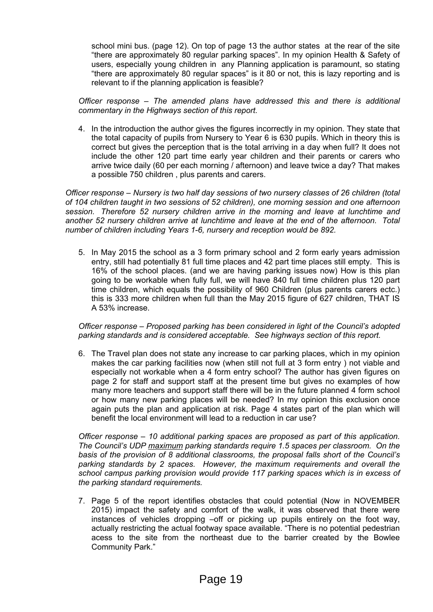school mini bus. (page 12). On top of page 13 the author states at the rear of the site "there are approximately 80 regular parking spaces". In my opinion Health & Safety of users, especially young children in any Planning application is paramount, so stating "there are approximately 80 regular spaces" is it 80 or not, this is lazy reporting and is relevant to if the planning application is feasible?

*Officer response – The amended plans have addressed this and there is additional commentary in the Highways section of this report.* 

4. In the introduction the author gives the figures incorrectly in my opinion. They state that the total capacity of pupils from Nursery to Year 6 is 630 pupils. Which in theory this is correct but gives the perception that is the total arriving in a day when full? It does not include the other 120 part time early year children and their parents or carers who arrive twice daily (60 per each morning / afternoon) and leave twice a day? That makes a possible 750 children , plus parents and carers.

*Officer response – Nursery is two half day sessions of two nursery classes of 26 children (total of 104 children taught in two sessions of 52 children), one morning session and one afternoon session. Therefore 52 nursery children arrive in the morning and leave at lunchtime and another 52 nursery children arrive at lunchtime and leave at the end of the afternoon. Total number of children including Years 1-6, nursery and reception would be 892.*

5. In May 2015 the school as a 3 form primary school and 2 form early years admission entry, still had potentially 81 full time places and 42 part time places still empty. This is 16% of the school places. (and we are having parking issues now) How is this plan going to be workable when fully full, we will have 840 full time children plus 120 part time children, which equals the possibility of 960 Children (plus parents carers ectc.) this is 333 more children when full than the May 2015 figure of 627 children, THAT IS A 53% increase.

## *Officer response – Proposed parking has been considered in light of the Council's adopted parking standards and is considered acceptable. See highways section of this report.*

6. The Travel plan does not state any increase to car parking places, which in my opinion makes the car parking facilities now (when still not full at 3 form entry ) not viable and especially not workable when a 4 form entry school? The author has given figures on page 2 for staff and support staff at the present time but gives no examples of how many more teachers and support staff there will be in the future planned 4 form school or how many new parking places will be needed? In my opinion this exclusion once again puts the plan and application at risk. Page 4 states part of the plan which will benefit the local environment will lead to a reduction in car use?

*Officer response – 10 additional parking spaces are proposed as part of this application. The Council's UDP maximum parking standards require 1.5 spaces per classroom. On the basis of the provision of 8 additional classrooms, the proposal falls short of the Council's parking standards by 2 spaces. However, the maximum requirements and overall the school campus parking provision would provide 117 parking spaces which is in excess of the parking standard requirements.* 

7. Page 5 of the report identifies obstacles that could potential (Now in NOVEMBER 2015) impact the safety and comfort of the walk, it was observed that there were instances of vehicles dropping –off or picking up pupils entirely on the foot way, actually restricting the actual footway space available. "There is no potential pedestrian acess to the site from the northeast due to the barrier created by the Bowlee Community Park."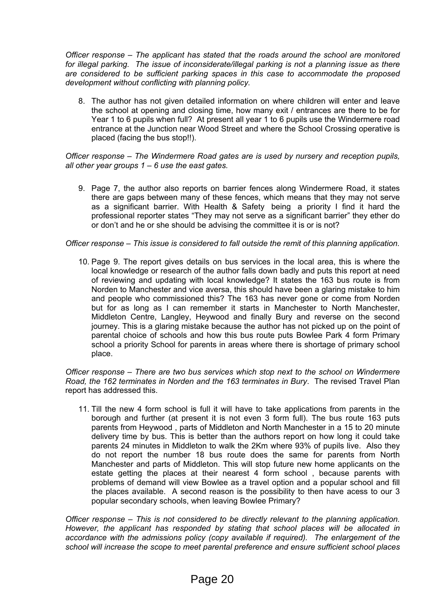*Officer response – The applicant has stated that the roads around the school are monitored for illegal parking. The issue of inconsiderate/illegal parking is not a planning issue as there are considered to be sufficient parking spaces in this case to accommodate the proposed development without conflicting with planning policy.*

8. The author has not given detailed information on where children will enter and leave the school at opening and closing time, how many exit / entrances are there to be for Year 1 to 6 pupils when full? At present all year 1 to 6 pupils use the Windermere road entrance at the Junction near Wood Street and where the School Crossing operative is placed (facing the bus stop!!).

*Officer response – The Windermere Road gates are is used by nursery and reception pupils, all other year groups 1 – 6 use the east gates.*

9. Page 7, the author also reports on barrier fences along Windermere Road, it states there are gaps between many of these fences, which means that they may not serve as a significant barrier. With Health & Safety being a priority I find it hard the professional reporter states "They may not serve as a significant barrier" they ether do or don't and he or she should be advising the committee it is or is not?

## *Officer response – This issue is considered to fall outside the remit of this planning application.*

10. Page 9. The report gives details on bus services in the local area, this is where the local knowledge or research of the author falls down badly and puts this report at need of reviewing and updating with local knowledge? It states the 163 bus route is from Norden to Manchester and vice aversa, this should have been a glaring mistake to him and people who commissioned this? The 163 has never gone or come from Norden but for as long as I can remember it starts in Manchester to North Manchester, Middleton Centre, Langley, Heywood and finally Bury and reverse on the second journey. This is a glaring mistake because the author has not picked up on the point of parental choice of schools and how this bus route puts Bowlee Park 4 form Primary school a priority School for parents in areas where there is shortage of primary school place.

*Officer response – There are two bus services which stop next to the school on Windermere Road, the 162 terminates in Norden and the 163 terminates in Bury*. The revised Travel Plan report has addressed this.

11. Till the new 4 form school is full it will have to take applications from parents in the borough and further (at present it is not even 3 form full). The bus route 163 puts parents from Heywood , parts of Middleton and North Manchester in a 15 to 20 minute delivery time by bus. This is better than the authors report on how long it could take parents 24 minutes in Middleton to walk the 2Km where 93% of pupils live. Also they do not report the number 18 bus route does the same for parents from North Manchester and parts of Middleton. This will stop future new home applicants on the estate getting the places at their nearest 4 form school , because parents with problems of demand will view Bowlee as a travel option and a popular school and fill the places available. A second reason is the possibility to then have acess to our 3 popular secondary schools, when leaving Bowlee Primary?

*Officer response – This is not considered to be directly relevant to the planning application. However, the applicant has responded by stating that school places will be allocated in accordance with the admissions policy (copy available if required). The enlargement of the school will increase the scope to meet parental preference and ensure sufficient school places*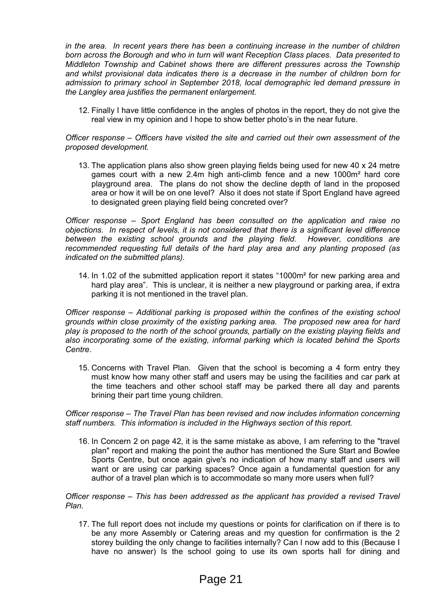*in the area. In recent years there has been a continuing increase in the number of children born across the Borough and who in turn will want Reception Class places. Data presented to Middleton Township and Cabinet shows there are different pressures across the Township and whilst provisional data indicates there is a decrease in the number of children born for admission to primary school in September 2018, local demographic led demand pressure in the Langley area justifies the permanent enlargement.*

12. Finally I have little confidence in the angles of photos in the report, they do not give the real view in my opinion and I hope to show better photo's in the near future.

*Officer response – Officers have visited the site and carried out their own assessment of the proposed development.* 

13. The application plans also show green playing fields being used for new 40 x 24 metre games court with a new 2.4m high anti-climb fence and a new 1000m² hard core playground area. The plans do not show the decline depth of land in the proposed area or how it will be on one level? Also it does not state if Sport England have agreed to designated green playing field being concreted over?

*Officer response – Sport England has been consulted on the application and raise no objections. In respect of levels, it is not considered that there is a significant level difference between the existing school grounds and the playing field. However, conditions are recommended requesting full details of the hard play area and any planting proposed (as indicated on the submitted plans).*

14. In 1.02 of the submitted application report it states "1000m² for new parking area and hard play area". This is unclear, it is neither a new playground or parking area, if extra parking it is not mentioned in the travel plan.

*Officer response – Additional parking is proposed within the confines of the existing school grounds within close proximity of the existing parking area. The proposed new area for hard play is proposed to the north of the school grounds, partially on the existing playing fields and also incorporating some of the existing, informal parking which is located behind the Sports Centre.*

15. Concerns with Travel Plan. Given that the school is becoming a 4 form entry they must know how many other staff and users may be using the facilities and car park at the time teachers and other school staff may be parked there all day and parents brining their part time young children.

*Officer response – The Travel Plan has been revised and now includes information concerning staff numbers. This information is included in the Highways section of this report.* 

16. In Concern 2 on page 42, it is the same mistake as above, I am referring to the "travel plan" report and making the point the author has mentioned the Sure Start and Bowlee Sports Centre, but once again give's no indication of how many staff and users will want or are using car parking spaces? Once again a fundamental question for any author of a travel plan which is to accommodate so many more users when full?

*Officer response – This has been addressed as the applicant has provided a revised Travel Plan.*

17. The full report does not include my questions or points for clarification on if there is to be any more Assembly or Catering areas and my question for confirmation is the 2 storey building the only change to facilities internally? Can I now add to this (Because I have no answer) Is the school going to use its own sports hall for dining and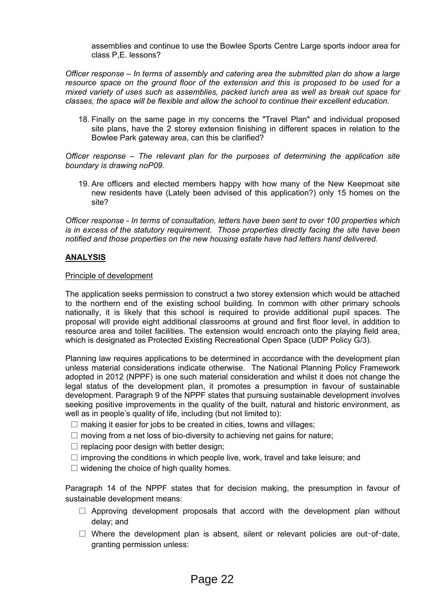assemblies and continue to use the Bowlee Sports Centre Large sports indoor area for class P,E. lessons?

*Officer response – In terms of assembly and catering area the submitted plan do show a large resource space on the ground floor of the extension and this is proposed to be used for a mixed variety of uses such as assemblies, packed lunch area as well as break out space for classes, the space will be flexible and allow the school to continue their excellent education.*

18. Finally on the same page in my concerns the "Travel Plan" and individual proposed site plans, have the 2 storey extension finishing in different spaces in relation to the Bowlee Park gateway area, can this be clarified?

*Officer response – The relevant plan for the purposes of determining the application site boundary is drawing noP09.*

19. Are officers and elected members happy with how many of the New Keepmoat site new residents have (Lately been advised of this application?) only 15 homes on the site?

*Officer response - In terms of consultation, letters have been sent to over 100 properties which is in excess of the statutory requirement. Those properties directly facing the site have been notified and those properties on the new housing estate have had letters hand delivered.*

# **ANALYSIS**

## Principle of development

The application seeks permission to construct a two storey extension which would be attached to the northern end of the existing school building. In common with other primary schools nationally, it is likely that this school is required to provide additional pupil spaces. The proposal will provide eight additional classrooms at ground and first floor level, in addition to resource area and toilet facilities. The extension would encroach onto the playing field area, which is designated as Protected Existing Recreational Open Space (UDP Policy G/3).

Planning law requires applications to be determined in accordance with the development plan unless material considerations indicate otherwise. The National Planning Policy Framework adopted in 2012 (NPPF) is one such material consideration and whilst it does not change the legal status of the development plan, it promotes a presumption in favour of sustainable development. Paragraph 9 of the NPPF states that pursuing sustainable development involves seeking positive improvements in the quality of the built, natural and historic environment, as well as in people's quality of life, including (but not limited to):

- $\Box$  making it easier for jobs to be created in cities, towns and villages;
- $\Box$  moving from a net loss of bio-diversity to achieving net gains for nature;
- $\Box$  replacing poor design with better design;
- $\Box$  improving the conditions in which people live, work, travel and take leisure; and
- $\Box$  widening the choice of high quality homes.

Paragraph 14 of the NPPF states that for decision making, the presumption in favour of sustainable development means:

- $\Box$  Approving development proposals that accord with the development plan without delay; and
- $\Box$  Where the development plan is absent, silent or relevant policies are out-of-date, granting permission unless: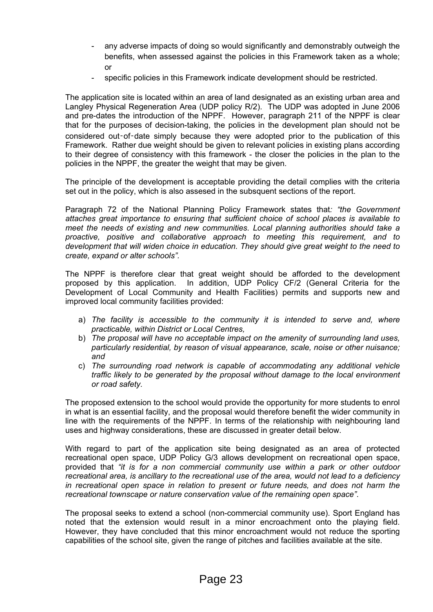- any adverse impacts of doing so would significantly and demonstrably outweigh the benefits, when assessed against the policies in this Framework taken as a whole; or
- specific policies in this Framework indicate development should be restricted.

The application site is located within an area of land designated as an existing urban area and Langley Physical Regeneration Area (UDP policy R/2). The UDP was adopted in June 2006 and pre-dates the introduction of the NPPF. However, paragraph 211 of the NPPF is clear that for the purposes of decision-taking, the policies in the development plan should not be considered out-of-date simply because they were adopted prior to the publication of this Framework. Rather due weight should be given to relevant policies in existing plans according to their degree of consistency with this framework - the closer the policies in the plan to the policies in the NPPF, the greater the weight that may be given.

The principle of the development is acceptable providing the detail complies with the criteria set out in the policy, which is also assesed in the subsquent sections of the report.

Paragraph 72 of the National Planning Policy Framework states that*: "the Government attaches great importance to ensuring that sufficient choice of school places is available to meet the needs of existing and new communities. Local planning authorities should take a proactive, positive and collaborative approach to meeting this requirement, and to development that will widen choice in education. They should give great weight to the need to create, expand or alter schools".* 

The NPPF is therefore clear that great weight should be afforded to the development proposed by this application.In addition, UDP Policy CF/2 (General Criteria for the Development of Local Community and Health Facilities) permits and supports new and improved local community facilities provided:

- a) *The facility is accessible to the community it is intended to serve and, where practicable, within District or Local Centres,*
- b) *The proposal will have no acceptable impact on the amenity of surrounding land uses, particularly residential, by reason of visual appearance, scale, noise or other nuisance; and*
- c) *The surrounding road network is capable of accommodating any additional vehicle traffic likely to be generated by the proposal without damage to the local environment or road safety.*

The proposed extension to the school would provide the opportunity for more students to enrol in what is an essential facility, and the proposal would therefore benefit the wider community in line with the requirements of the NPPF. In terms of the relationship with neighbouring land uses and highway considerations, these are discussed in greater detail below.

With regard to part of the application site being designated as an area of protected recreational open space, UDP Policy G/3 allows development on recreational open space, provided that *"it is for a non commercial community use within a park or other outdoor recreational area, is ancillary to the recreational use of the area, would not lead to a deficiency in recreational open space in relation to present or future needs, and does not harm the recreational townscape or nature conservation value of the remaining open space"*.

The proposal seeks to extend a school (non-commercial community use). Sport England has noted that the extension would result in a minor encroachment onto the playing field. However, they have concluded that this minor encroachment would not reduce the sporting capabilities of the school site, given the range of pitches and facilities available at the site.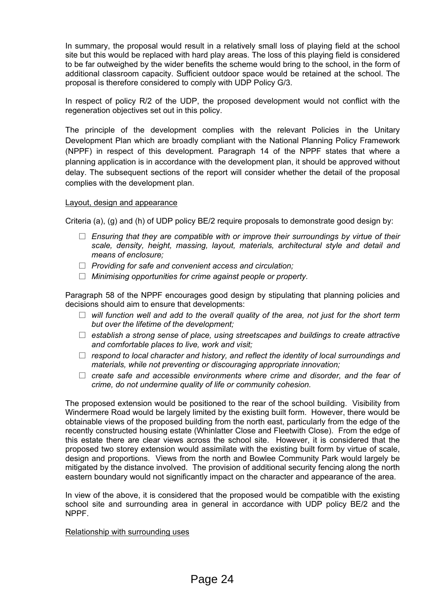In summary, the proposal would result in a relatively small loss of playing field at the school site but this would be replaced with hard play areas. The loss of this playing field is considered to be far outweighed by the wider benefits the scheme would bring to the school, in the form of additional classroom capacity. Sufficient outdoor space would be retained at the school. The proposal is therefore considered to comply with UDP Policy G/3.

In respect of policy R/2 of the UDP, the proposed development would not conflict with the regeneration objectives set out in this policy.

The principle of the development complies with the relevant Policies in the Unitary Development Plan which are broadly compliant with the National Planning Policy Framework (NPPF) in respect of this development. Paragraph 14 of the NPPF states that where a planning application is in accordance with the development plan, it should be approved without delay. The subsequent sections of the report will consider whether the detail of the proposal complies with the development plan.

# Layout, design and appearance

Criteria (a), (g) and (h) of UDP policy BE/2 require proposals to demonstrate good design by:

- *Ensuring that they are compatible with or improve their surroundings by virtue of their scale, density, height, massing, layout, materials, architectural style and detail and means of enclosure;*
- *Providing for safe and convenient access and circulation;*
- *Minimising opportunities for crime against people or property.*

Paragraph 58 of the NPPF encourages good design by stipulating that planning policies and decisions should aim to ensure that developments:

- *will function well and add to the overall quality of the area, not just for the short term but over the lifetime of the development;*
- *establish a strong sense of place, using streetscapes and buildings to create attractive and comfortable places to live, work and visit;*
- *respond to local character and history, and reflect the identity of local surroundings and materials, while not preventing or discouraging appropriate innovation;*
- *create safe and accessible environments where crime and disorder, and the fear of crime, do not undermine quality of life or community cohesion.*

The proposed extension would be positioned to the rear of the school building. Visibility from Windermere Road would be largely limited by the existing built form. However, there would be obtainable views of the proposed building from the north east, particularly from the edge of the recently constructed housing estate (Whinlatter Close and Fleetwith Close). From the edge of this estate there are clear views across the school site. However, it is considered that the proposed two storey extension would assimilate with the existing built form by virtue of scale, design and proportions. Views from the north and Bowlee Community Park would largely be mitigated by the distance involved. The provision of additional security fencing along the north eastern boundary would not significantly impact on the character and appearance of the area.

In view of the above, it is considered that the proposed would be compatible with the existing school site and surrounding area in general in accordance with UDP policy BE/2 and the NPPF.

#### Relationship with surrounding uses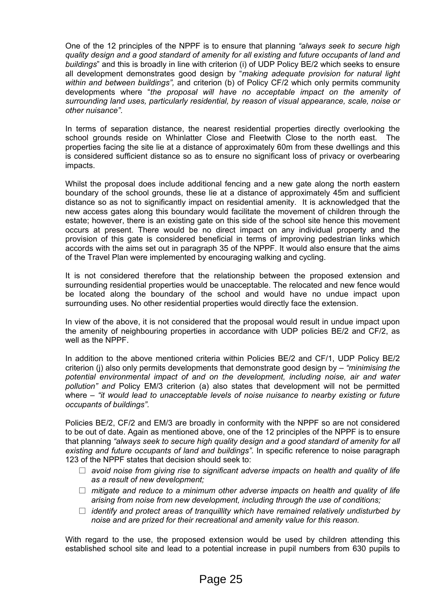One of the 12 principles of the NPPF is to ensure that planning *"always seek to secure high quality design and a good standard of amenity for all existing and future occupants of land and buildings*" and this is broadly in line with criterion (i) of UDP Policy BE/2 which seeks to ensure all development demonstrates good design by "*making adequate provision for natural light within and between buildings",* and criterion (b) of Policy CF/2 which only permits community developments where "*the proposal will have no acceptable impact on the amenity of surrounding land uses, particularly residential, by reason of visual appearance, scale, noise or other nuisance"*.

In terms of separation distance, the nearest residential properties directly overlooking the school grounds reside on Whinlatter Close and Fleetwith Close to the north east. The properties facing the site lie at a distance of approximately 60m from these dwellings and this is considered sufficient distance so as to ensure no significant loss of privacy or overbearing impacts.

Whilst the proposal does include additional fencing and a new gate along the north eastern boundary of the school grounds, these lie at a distance of approximately 45m and sufficient distance so as not to significantly impact on residential amenity. It is acknowledged that the new access gates along this boundary would facilitate the movement of children through the estate; however, there is an existing gate on this side of the school site hence this movement occurs at present. There would be no direct impact on any individual property and the provision of this gate is considered beneficial in terms of improving pedestrian links which accords with the aims set out in paragraph 35 of the NPPF. It would also ensure that the aims of the Travel Plan were implemented by encouraging walking and cycling.

It is not considered therefore that the relationship between the proposed extension and surrounding residential properties would be unacceptable. The relocated and new fence would be located along the boundary of the school and would have no undue impact upon surrounding uses. No other residential properties would directly face the extension.

In view of the above, it is not considered that the proposal would result in undue impact upon the amenity of neighbouring properties in accordance with UDP policies BE/2 and CF/2, as well as the NPPF.

In addition to the above mentioned criteria within Policies BE/2 and CF/1, UDP Policy BE/2 criterion (j) also only permits developments that demonstrate good design by – *"minimising the potential environmental impact of and on the development, including noise, air and water pollution" and* Policy EM/3 criterion (a) also states that development will not be permitted where – *"it would lead to unacceptable levels of noise nuisance to nearby existing or future occupants of buildings".*

Policies BE/2, CF/2 and EM/3 are broadly in conformity with the NPPF so are not considered to be out of date. Again as mentioned above, one of the 12 principles of the NPPF is to ensure that planning *"always seek to secure high quality design and a good standard of amenity for all existing and future occupants of land and buildings".* In specific reference to noise paragraph 123 of the NPPF states that decision should seek to:

- *avoid noise from giving rise to significant adverse impacts on health and quality of life as a result of new development;*
- *mitigate and reduce to a minimum other adverse impacts on health and quality of life arising from noise from new development, including through the use of conditions;*
- *identify and protect areas of tranquillity which have remained relatively undisturbed by noise and are prized for their recreational and amenity value for this reason.*

With regard to the use, the proposed extension would be used by children attending this established school site and lead to a potential increase in pupil numbers from 630 pupils to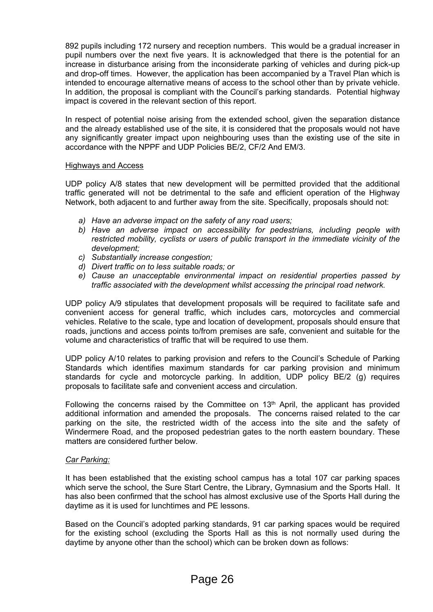892 pupils including 172 nursery and reception numbers. This would be a gradual increaser in pupil numbers over the next five years. It is acknowledged that there is the potential for an increase in disturbance arising from the inconsiderate parking of vehicles and during pick-up and drop-off times. However, the application has been accompanied by a Travel Plan which is intended to encourage alternative means of access to the school other than by private vehicle. In addition, the proposal is compliant with the Council's parking standards. Potential highway impact is covered in the relevant section of this report.

In respect of potential noise arising from the extended school, given the separation distance and the already established use of the site, it is considered that the proposals would not have any significantly greater impact upon neighbouring uses than the existing use of the site in accordance with the NPPF and UDP Policies BE/2, CF/2 And EM/3.

## Highways and Access

UDP policy A/8 states that new development will be permitted provided that the additional traffic generated will not be detrimental to the safe and efficient operation of the Highway Network, both adjacent to and further away from the site. Specifically, proposals should not:

- *a) Have an adverse impact on the safety of any road users;*
- *b) Have an adverse impact on accessibility for pedestrians, including people with restricted mobility, cyclists or users of public transport in the immediate vicinity of the development;*
- *c) Substantially increase congestion;*
- *d) Divert traffic on to less suitable roads; or*
- *e) Cause an unacceptable environmental impact on residential properties passed by traffic associated with the development whilst accessing the principal road network.*

UDP policy A/9 stipulates that development proposals will be required to facilitate safe and convenient access for general traffic, which includes cars, motorcycles and commercial vehicles. Relative to the scale, type and location of development, proposals should ensure that roads, junctions and access points to/from premises are safe, convenient and suitable for the volume and characteristics of traffic that will be required to use them.

UDP policy A/10 relates to parking provision and refers to the Council's Schedule of Parking Standards which identifies maximum standards for car parking provision and minimum standards for cycle and motorcycle parking. In addition, UDP policy BE/2 (g) requires proposals to facilitate safe and convenient access and circulation.

Following the concerns raised by the Committee on  $13<sup>th</sup>$  April, the applicant has provided additional information and amended the proposals. The concerns raised related to the car parking on the site, the restricted width of the access into the site and the safety of Windermere Road, and the proposed pedestrian gates to the north eastern boundary. These matters are considered further below.

#### *Car Parking:*

It has been established that the existing school campus has a total 107 car parking spaces which serve the school, the Sure Start Centre, the Library, Gymnasium and the Sports Hall. It has also been confirmed that the school has almost exclusive use of the Sports Hall during the daytime as it is used for lunchtimes and PE lessons.

Based on the Council's adopted parking standards, 91 car parking spaces would be required for the existing school (excluding the Sports Hall as this is not normally used during the daytime by anyone other than the school) which can be broken down as follows: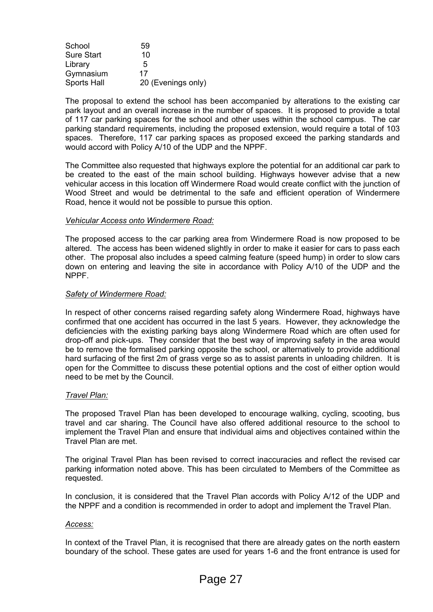| School            | 59                 |
|-------------------|--------------------|
| <b>Sure Start</b> | 10                 |
| Library           | 5                  |
| Gymnasium         | 17                 |
| Sports Hall       | 20 (Evenings only) |

The proposal to extend the school has been accompanied by alterations to the existing car park layout and an overall increase in the number of spaces. It is proposed to provide a total of 117 car parking spaces for the school and other uses within the school campus. The car parking standard requirements, including the proposed extension, would require a total of 103 spaces. Therefore, 117 car parking spaces as proposed exceed the parking standards and would accord with Policy A/10 of the UDP and the NPPF.

The Committee also requested that highways explore the potential for an additional car park to be created to the east of the main school building. Highways however advise that a new vehicular access in this location off Windermere Road would create conflict with the junction of Wood Street and would be detrimental to the safe and efficient operation of Windermere Road, hence it would not be possible to pursue this option.

# *Vehicular Access onto Windermere Road:*

The proposed access to the car parking area from Windermere Road is now proposed to be altered. The access has been widened slightly in order to make it easier for cars to pass each other. The proposal also includes a speed calming feature (speed hump) in order to slow cars down on entering and leaving the site in accordance with Policy A/10 of the UDP and the NPPF.

## *Safety of Windermere Road:*

In respect of other concerns raised regarding safety along Windermere Road, highways have confirmed that one accident has occurred in the last 5 years. However, they acknowledge the deficiencies with the existing parking bays along Windermere Road which are often used for drop-off and pick-ups. They consider that the best way of improving safety in the area would be to remove the formalised parking opposite the school, or alternatively to provide additional hard surfacing of the first 2m of grass verge so as to assist parents in unloading children. It is open for the Committee to discuss these potential options and the cost of either option would need to be met by the Council.

# *Travel Plan:*

The proposed Travel Plan has been developed to encourage walking, cycling, scooting, bus travel and car sharing. The Council have also offered additional resource to the school to implement the Travel Plan and ensure that individual aims and objectives contained within the Travel Plan are met.

The original Travel Plan has been revised to correct inaccuracies and reflect the revised car parking information noted above. This has been circulated to Members of the Committee as requested.

In conclusion, it is considered that the Travel Plan accords with Policy A/12 of the UDP and the NPPF and a condition is recommended in order to adopt and implement the Travel Plan.

#### *Access:*

In context of the Travel Plan, it is recognised that there are already gates on the north eastern boundary of the school. These gates are used for years 1-6 and the front entrance is used for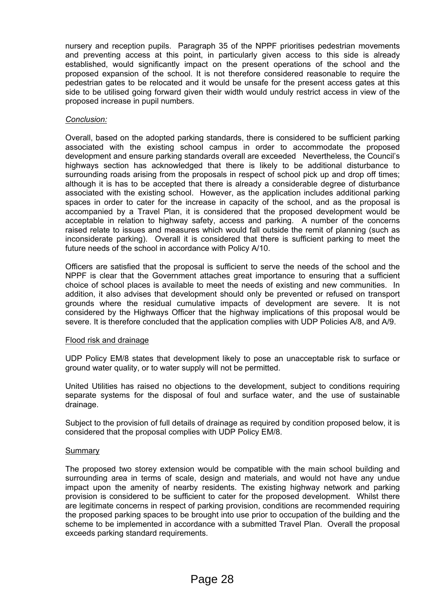nursery and reception pupils. Paragraph 35 of the NPPF prioritises pedestrian movements and preventing access at this point, in particularly given access to this side is already established, would significantly impact on the present operations of the school and the proposed expansion of the school. It is not therefore considered reasonable to require the pedestrian gates to be relocated and it would be unsafe for the present access gates at this side to be utilised going forward given their width would unduly restrict access in view of the proposed increase in pupil numbers.

# *Conclusion:*

Overall, based on the adopted parking standards, there is considered to be sufficient parking associated with the existing school campus in order to accommodate the proposed development and ensure parking standards overall are exceeded Nevertheless, the Council's highways section has acknowledged that there is likely to be additional disturbance to surrounding roads arising from the proposals in respect of school pick up and drop off times; although it is has to be accepted that there is already a considerable degree of disturbance associated with the existing school. However, as the application includes additional parking spaces in order to cater for the increase in capacity of the school, and as the proposal is accompanied by a Travel Plan, it is considered that the proposed development would be acceptable in relation to highway safety, access and parking. A number of the concerns raised relate to issues and measures which would fall outside the remit of planning (such as inconsiderate parking). Overall it is considered that there is sufficient parking to meet the future needs of the school in accordance with Policy A/10.

Officers are satisfied that the proposal is sufficient to serve the needs of the school and the NPPF is clear that the Government attaches great importance to ensuring that a sufficient choice of school places is available to meet the needs of existing and new communities. In addition, it also advises that development should only be prevented or refused on transport grounds where the residual cumulative impacts of development are severe. It is not considered by the Highways Officer that the highway implications of this proposal would be severe. It is therefore concluded that the application complies with UDP Policies A/8, and A/9.

# Flood risk and drainage

UDP Policy EM/8 states that development likely to pose an unacceptable risk to surface or ground water quality, or to water supply will not be permitted.

United Utilities has raised no objections to the development, subject to conditions requiring separate systems for the disposal of foul and surface water, and the use of sustainable drainage.

Subject to the provision of full details of drainage as required by condition proposed below, it is considered that the proposal complies with UDP Policy EM/8.

# Summary

The proposed two storey extension would be compatible with the main school building and surrounding area in terms of scale, design and materials, and would not have any undue impact upon the amenity of nearby residents. The existing highway network and parking provision is considered to be sufficient to cater for the proposed development. Whilst there are legitimate concerns in respect of parking provision, conditions are recommended requiring the proposed parking spaces to be brought into use prior to occupation of the building and the scheme to be implemented in accordance with a submitted Travel Plan. Overall the proposal exceeds parking standard requirements.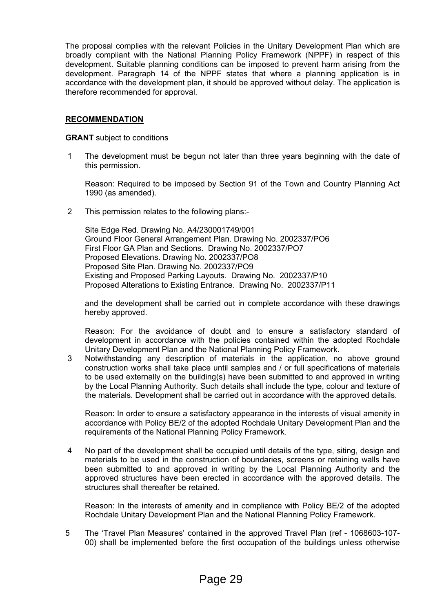The proposal complies with the relevant Policies in the Unitary Development Plan which are broadly compliant with the National Planning Policy Framework (NPPF) in respect of this development. Suitable planning conditions can be imposed to prevent harm arising from the development. Paragraph 14 of the NPPF states that where a planning application is in accordance with the development plan, it should be approved without delay. The application is therefore recommended for approval.

# **RECOMMENDATION**

**GRANT** subject to conditions

1 The development must be begun not later than three years beginning with the date of this permission.

Reason: Required to be imposed by Section 91 of the Town and Country Planning Act 1990 (as amended).

2 This permission relates to the following plans:-

Site Edge Red. Drawing No. A4/230001749/001 Ground Floor General Arrangement Plan. Drawing No. 2002337/PO6 First Floor GA Plan and Sections. Drawing No. 2002337/PO7 Proposed Elevations. Drawing No. 2002337/PO8 Proposed Site Plan. Drawing No. 2002337/PO9 Existing and Proposed Parking Layouts. Drawing No. 2002337/P10 Proposed Alterations to Existing Entrance. Drawing No. 2002337/P11

and the development shall be carried out in complete accordance with these drawings hereby approved.

Reason: For the avoidance of doubt and to ensure a satisfactory standard of development in accordance with the policies contained within the adopted Rochdale Unitary Development Plan and the National Planning Policy Framework.

3 Notwithstanding any description of materials in the application, no above ground construction works shall take place until samples and / or full specifications of materials to be used externally on the building(s) have been submitted to and approved in writing by the Local Planning Authority. Such details shall include the type, colour and texture of the materials. Development shall be carried out in accordance with the approved details.

Reason: In order to ensure a satisfactory appearance in the interests of visual amenity in accordance with Policy BE/2 of the adopted Rochdale Unitary Development Plan and the requirements of the National Planning Policy Framework.

4 No part of the development shall be occupied until details of the type, siting, design and materials to be used in the construction of boundaries, screens or retaining walls have been submitted to and approved in writing by the Local Planning Authority and the approved structures have been erected in accordance with the approved details. The structures shall thereafter be retained.

Reason: In the interests of amenity and in compliance with Policy BE/2 of the adopted Rochdale Unitary Development Plan and the National Planning Policy Framework.

5 The 'Travel Plan Measures' contained in the approved Travel Plan (ref - 1068603-107- 00) shall be implemented before the first occupation of the buildings unless otherwise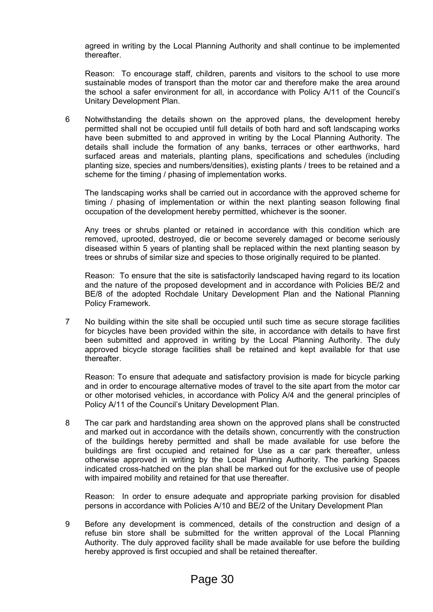agreed in writing by the Local Planning Authority and shall continue to be implemented thereafter.

Reason: To encourage staff, children, parents and visitors to the school to use more sustainable modes of transport than the motor car and therefore make the area around the school a safer environment for all, in accordance with Policy A/11 of the Council's Unitary Development Plan.

6 Notwithstanding the details shown on the approved plans, the development hereby permitted shall not be occupied until full details of both hard and soft landscaping works have been submitted to and approved in writing by the Local Planning Authority. The details shall include the formation of any banks, terraces or other earthworks, hard surfaced areas and materials, planting plans, specifications and schedules (including planting size, species and numbers/densities), existing plants / trees to be retained and a scheme for the timing / phasing of implementation works.

The landscaping works shall be carried out in accordance with the approved scheme for timing / phasing of implementation or within the next planting season following final occupation of the development hereby permitted, whichever is the sooner.

Any trees or shrubs planted or retained in accordance with this condition which are removed, uprooted, destroyed, die or become severely damaged or become seriously diseased within 5 years of planting shall be replaced within the next planting season by trees or shrubs of similar size and species to those originally required to be planted.

Reason: To ensure that the site is satisfactorily landscaped having regard to its location and the nature of the proposed development and in accordance with Policies BE/2 and BE/8 of the adopted Rochdale Unitary Development Plan and the National Planning Policy Framework.

7 No building within the site shall be occupied until such time as secure storage facilities for bicycles have been provided within the site, in accordance with details to have first been submitted and approved in writing by the Local Planning Authority. The duly approved bicycle storage facilities shall be retained and kept available for that use thereafter.

Reason: To ensure that adequate and satisfactory provision is made for bicycle parking and in order to encourage alternative modes of travel to the site apart from the motor car or other motorised vehicles, in accordance with Policy A/4 and the general principles of Policy A/11 of the Council's Unitary Development Plan.

8 The car park and hardstanding area shown on the approved plans shall be constructed and marked out in accordance with the details shown, concurrently with the construction of the buildings hereby permitted and shall be made available for use before the buildings are first occupied and retained for Use as a car park thereafter, unless otherwise approved in writing by the Local Planning Authority. The parking Spaces indicated cross-hatched on the plan shall be marked out for the exclusive use of people with impaired mobility and retained for that use thereafter.

Reason: In order to ensure adequate and appropriate parking provision for disabled persons in accordance with Policies A/10 and BE/2 of the Unitary Development Plan

9 Before any development is commenced, details of the construction and design of a refuse bin store shall be submitted for the written approval of the Local Planning Authority. The duly approved facility shall be made available for use before the building hereby approved is first occupied and shall be retained thereafter.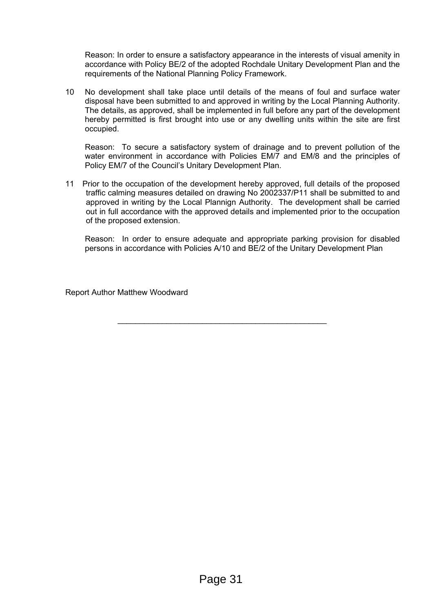Reason: In order to ensure a satisfactory appearance in the interests of visual amenity in accordance with Policy BE/2 of the adopted Rochdale Unitary Development Plan and the requirements of the National Planning Policy Framework.

10 No development shall take place until details of the means of foul and surface water disposal have been submitted to and approved in writing by the Local Planning Authority. The details, as approved, shall be implemented in full before any part of the development hereby permitted is first brought into use or any dwelling units within the site are first occupied.

Reason: To secure a satisfactory system of drainage and to prevent pollution of the water environment in accordance with Policies EM/7 and EM/8 and the principles of Policy EM/7 of the Council's Unitary Development Plan.

11 Prior to the occupation of the development hereby approved, full details of the proposed traffic calming measures detailed on drawing No 2002337/P11 shall be submitted to and approved in writing by the Local Plannign Authority. The development shall be carried out in full accordance with the approved details and implemented prior to the occupation of the proposed extension.

\_\_\_\_\_\_\_\_\_\_\_\_\_\_\_\_\_\_\_\_\_\_\_\_\_\_\_\_\_\_\_\_\_\_\_\_\_\_\_\_\_\_\_\_\_\_\_

Reason: In order to ensure adequate and appropriate parking provision for disabled persons in accordance with Policies A/10 and BE/2 of the Unitary Development Plan

Report Author Matthew Woodward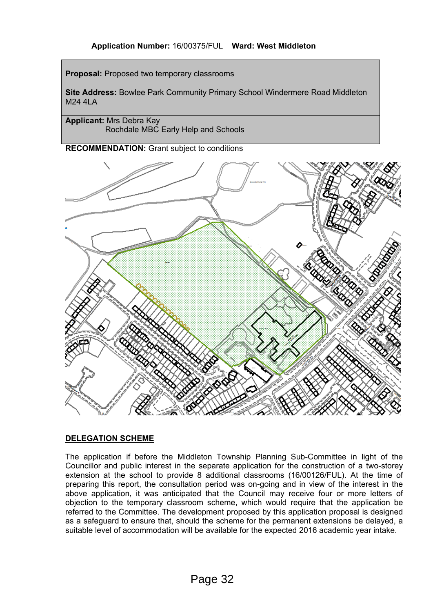# **Application Number:** 16/00375/FUL **Ward: West Middleton**

**Proposal:** Proposed two temporary classrooms

**Site Address:** Bowlee Park Community Primary School Windermere Road Middleton M<sub>24</sub> 4LA

**Applicant:** Mrs Debra Kay Rochdale MBC Early Help and Schools

**RECOMMENDATION:** Grant subject to conditions



# **DELEGATION SCHEME**

The application if before the Middleton Township Planning Sub-Committee in light of the Councillor and public interest in the separate application for the construction of a two-storey extension at the school to provide 8 additional classrooms (16/00126/FUL). At the time of preparing this report, the consultation period was on-going and in view of the interest in the above application, it was anticipated that the Council may receive four or more letters of objection to the temporary classroom scheme, which would require that the application be referred to the Committee. The development proposed by this application proposal is designed as a safeguard to ensure that, should the scheme for the permanent extensions be delayed, a suitable level of accommodation will be available for the expected 2016 academic year intake.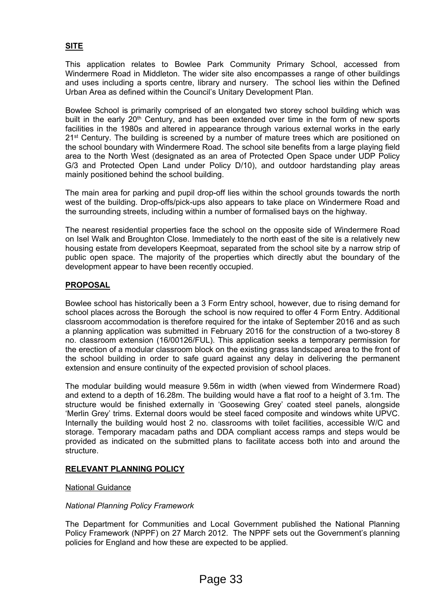# **SITE**

This application relates to Bowlee Park Community Primary School, accessed from Windermere Road in Middleton. The wider site also encompasses a range of other buildings and uses including a sports centre, library and nursery. The school lies within the Defined Urban Area as defined within the Council's Unitary Development Plan.

Bowlee School is primarily comprised of an elongated two storey school building which was built in the early 20<sup>th</sup> Century, and has been extended over time in the form of new sports facilities in the 1980s and altered in appearance through various external works in the early 21<sup>st</sup> Century. The building is screened by a number of mature trees which are positioned on the school boundary with Windermere Road. The school site benefits from a large playing field area to the North West (designated as an area of Protected Open Space under UDP Policy G/3 and Protected Open Land under Policy D/10), and outdoor hardstanding play areas mainly positioned behind the school building.

The main area for parking and pupil drop-off lies within the school grounds towards the north west of the building. Drop-offs/pick-ups also appears to take place on Windermere Road and the surrounding streets, including within a number of formalised bays on the highway.

The nearest residential properties face the school on the opposite side of Windermere Road on Isel Walk and Broughton Close. Immediately to the north east of the site is a relatively new housing estate from developers Keepmoat, separated from the school site by a narrow strip of public open space. The majority of the properties which directly abut the boundary of the development appear to have been recently occupied.

# **PROPOSAL**

Bowlee school has historically been a 3 Form Entry school, however, due to rising demand for school places across the Borough the school is now required to offer 4 Form Entry. Additional classroom accommodation is therefore required for the intake of September 2016 and as such a planning application was submitted in February 2016 for the construction of a two-storey 8 no. classroom extension (16/00126/FUL). This application seeks a temporary permission for the erection of a modular classroom block on the existing grass landscaped area to the front of the school building in order to safe guard against any delay in delivering the permanent extension and ensure continuity of the expected provision of school places.

The modular building would measure 9.56m in width (when viewed from Windermere Road) and extend to a depth of 16.28m. The building would have a flat roof to a height of 3.1m. The structure would be finished externally in 'Goosewing Grey' coated steel panels, alongside 'Merlin Grey' trims. External doors would be steel faced composite and windows white UPVC. Internally the building would host 2 no. classrooms with toilet facilities, accessible W/C and storage. Temporary macadam paths and DDA compliant access ramps and steps would be provided as indicated on the submitted plans to facilitate access both into and around the **structure** 

# **RELEVANT PLANNING POLICY**

# National Guidance

# *National Planning Policy Framework*

The Department for Communities and Local Government published the National Planning Policy Framework (NPPF) on 27 March 2012. The NPPF sets out the Government's planning policies for England and how these are expected to be applied.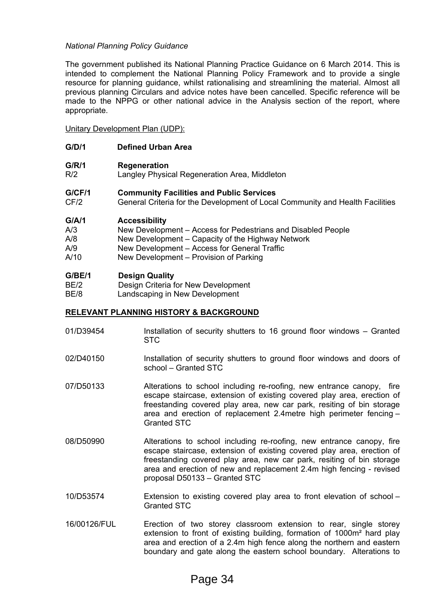# *National Planning Policy Guidance*

The government published its National Planning Practice Guidance on 6 March 2014. This is intended to complement the National Planning Policy Framework and to provide a single resource for planning guidance, whilst rationalising and streamlining the material. Almost all previous planning Circulars and advice notes have been cancelled. Specific reference will be made to the NPPG or other national advice in the Analysis section of the report, where appropriate.

Unitary Development Plan (UDP):

- **G/D/1 Defined Urban Area**
- **G/R/1 Regeneration**
- R/2 Langley Physical Regeneration Area, Middleton
- **G/CF/1 Community Facilities and Public Services**
- CF/2 General Criteria for the Development of Local Community and Health Facilities

## **G/A/1 Accessibility**

| A/3 | New Development – Access for Pedestrians and Disabled People |
|-----|--------------------------------------------------------------|
|     |                                                              |

- A/8 New Development Capacity of the Highway Network
- A/9 New Development Access for General Traffic
- A/10 New Development Provision of Parking

## **G/BE/1 Design Quality**

| BE/2  | Design Criteria for New Development |
|-------|-------------------------------------|
| DE 10 | Landesaning in New Development      |

BE/8 Landscaping in New Development

#### **RELEVANT PLANNING HISTORY & BACKGROUND**

- 01/D39454 Installation of security shutters to 16 ground floor windows Granted STC
- 02/D40150 Installation of security shutters to ground floor windows and doors of school – Granted STC
- 07/D50133 Alterations to school including re-roofing, new entrance canopy, fire escape staircase, extension of existing covered play area, erection of freestanding covered play area, new car park, resiting of bin storage area and erection of replacement 2.4metre high perimeter fencing – Granted STC
- 08/D50990 Alterations to school including re-roofing, new entrance canopy, fire escape staircase, extension of existing covered play area, erection of freestanding covered play area, new car park, resiting of bin storage area and erection of new and replacement 2.4m high fencing - revised proposal D50133 – Granted STC
- 10/D53574 Extension to existing covered play area to front elevation of school Granted STC
- 16/00126/FUL Erection of two storey classroom extension to rear, single storey extension to front of existing building, formation of 1000m<sup>2</sup> hard play area and erection of a 2.4m high fence along the northern and eastern boundary and gate along the eastern school boundary. Alterations to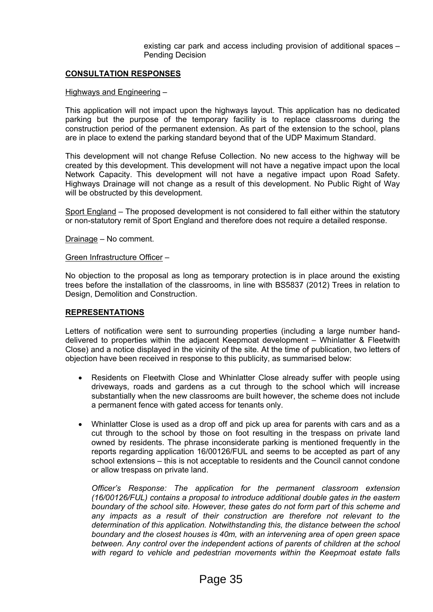existing car park and access including provision of additional spaces – Pending Decision

# **CONSULTATION RESPONSES**

#### Highways and Engineering –

This application will not impact upon the highways layout. This application has no dedicated parking but the purpose of the temporary facility is to replace classrooms during the construction period of the permanent extension. As part of the extension to the school, plans are in place to extend the parking standard beyond that of the UDP Maximum Standard.

This development will not change Refuse Collection. No new access to the highway will be created by this development. This development will not have a negative impact upon the local Network Capacity. This development will not have a negative impact upon Road Safety. Highways Drainage will not change as a result of this development. No Public Right of Way will be obstructed by this development.

Sport England – The proposed development is not considered to fall either within the statutory or non-statutory remit of Sport England and therefore does not require a detailed response.

Drainage – No comment.

Green Infrastructure Officer –

No objection to the proposal as long as temporary protection is in place around the existing trees before the installation of the classrooms, in line with BS5837 (2012) Trees in relation to Design, Demolition and Construction.

#### **REPRESENTATIONS**

Letters of notification were sent to surrounding properties (including a large number handdelivered to properties within the adjacent Keepmoat development – Whinlatter & Fleetwith Close) and a notice displayed in the vicinity of the site. At the time of publication, two letters of objection have been received in response to this publicity, as summarised below:

- Residents on Fleetwith Close and Whinlatter Close already suffer with people using driveways, roads and gardens as a cut through to the school which will increase substantially when the new classrooms are built however, the scheme does not include a permanent fence with gated access for tenants only.
- Whinlatter Close is used as a drop off and pick up area for parents with cars and as a cut through to the school by those on foot resulting in the trespass on private land owned by residents. The phrase inconsiderate parking is mentioned frequently in the reports regarding application 16/00126/FUL and seems to be accepted as part of any school extensions – this is not acceptable to residents and the Council cannot condone or allow trespass on private land.

*Officer's Response: The application for the permanent classroom extension (16/00126/FUL) contains a proposal to introduce additional double gates in the eastern boundary of the school site. However, these gates do not form part of this scheme and any impacts as a result of their construction are therefore not relevant to the determination of this application. Notwithstanding this, the distance between the school boundary and the closest houses is 40m, with an intervening area of open green space between. Any control over the independent actions of parents of children at the school with regard to vehicle and pedestrian movements within the Keepmoat estate falls*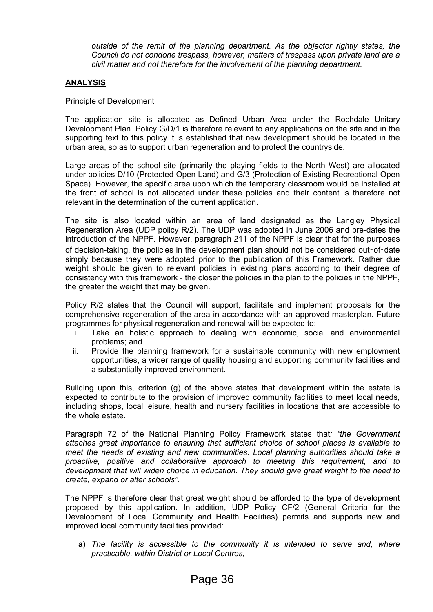*outside of the remit of the planning department. As the objector rightly states, the Council do not condone trespass, however, matters of trespass upon private land are a civil matter and not therefore for the involvement of the planning department.*

# **ANALYSIS**

# Principle of Development

The application site is allocated as Defined Urban Area under the Rochdale Unitary Development Plan. Policy G/D/1 is therefore relevant to any applications on the site and in the supporting text to this policy it is established that new development should be located in the urban area, so as to support urban regeneration and to protect the countryside.

Large areas of the school site (primarily the playing fields to the North West) are allocated under policies D/10 (Protected Open Land) and G/3 (Protection of Existing Recreational Open Space). However, the specific area upon which the temporary classroom would be installed at the front of school is not allocated under these policies and their content is therefore not relevant in the determination of the current application.

The site is also located within an area of land designated as the Langley Physical Regeneration Area (UDP policy R/2). The UDP was adopted in June 2006 and pre-dates the introduction of the NPPF. However, paragraph 211 of the NPPF is clear that for the purposes of decision-taking, the policies in the development plan should not be considered out-of-date simply because they were adopted prior to the publication of this Framework. Rather due weight should be given to relevant policies in existing plans according to their degree of consistency with this framework - the closer the policies in the plan to the policies in the NPPF, the greater the weight that may be given.

Policy R/2 states that the Council will support, facilitate and implement proposals for the comprehensive regeneration of the area in accordance with an approved masterplan. Future programmes for physical regeneration and renewal will be expected to:

- i. Take an holistic approach to dealing with economic, social and environmental problems; and
- ii. Provide the planning framework for a sustainable community with new employment opportunities, a wider range of quality housing and supporting community facilities and a substantially improved environment.

Building upon this, criterion (g) of the above states that development within the estate is expected to contribute to the provision of improved community facilities to meet local needs, including shops, local leisure, health and nursery facilities in locations that are accessible to the whole estate.

Paragraph 72 of the National Planning Policy Framework states that*: "the Government attaches great importance to ensuring that sufficient choice of school places is available to meet the needs of existing and new communities. Local planning authorities should take a proactive, positive and collaborative approach to meeting this requirement, and to development that will widen choice in education. They should give great weight to the need to create, expand or alter schools".* 

The NPPF is therefore clear that great weight should be afforded to the type of development proposed by this application. In addition, UDP Policy CF/2 (General Criteria for the Development of Local Community and Health Facilities) permits and supports new and improved local community facilities provided:

**a)** *The facility is accessible to the community it is intended to serve and, where practicable, within District or Local Centres,*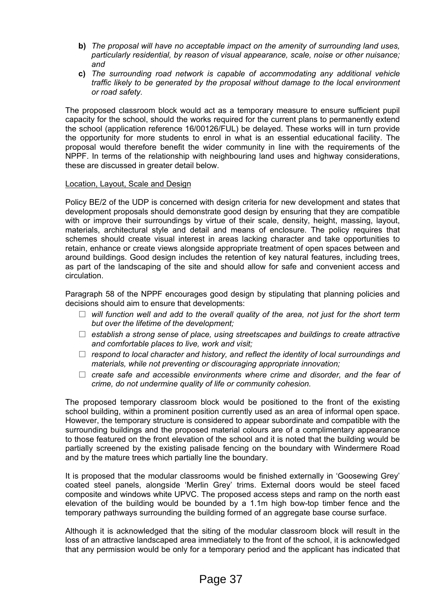- **b)** *The proposal will have no acceptable impact on the amenity of surrounding land uses, particularly residential, by reason of visual appearance, scale, noise or other nuisance; and*
- **c)** *The surrounding road network is capable of accommodating any additional vehicle traffic likely to be generated by the proposal without damage to the local environment or road safety.*

The proposed classroom block would act as a temporary measure to ensure sufficient pupil capacity for the school, should the works required for the current plans to permanently extend the school (application reference 16/00126/FUL) be delayed. These works will in turn provide the opportunity for more students to enrol in what is an essential educational facility. The proposal would therefore benefit the wider community in line with the requirements of the NPPF. In terms of the relationship with neighbouring land uses and highway considerations, these are discussed in greater detail below.

# Location, Layout, Scale and Design

Policy BE/2 of the UDP is concerned with design criteria for new development and states that development proposals should demonstrate good design by ensuring that they are compatible with or improve their surroundings by virtue of their scale, density, height, massing, layout, materials, architectural style and detail and means of enclosure. The policy requires that schemes should create visual interest in areas lacking character and take opportunities to retain, enhance or create views alongside appropriate treatment of open spaces between and around buildings. Good design includes the retention of key natural features, including trees, as part of the landscaping of the site and should allow for safe and convenient access and circulation.

Paragraph 58 of the NPPF encourages good design by stipulating that planning policies and decisions should aim to ensure that developments:

- *will function well and add to the overall quality of the area, not just for the short term but over the lifetime of the development;*
- *establish a strong sense of place, using streetscapes and buildings to create attractive and comfortable places to live, work and visit;*
- *respond to local character and history, and reflect the identity of local surroundings and materials, while not preventing or discouraging appropriate innovation;*
- *create safe and accessible environments where crime and disorder, and the fear of crime, do not undermine quality of life or community cohesion.*

The proposed temporary classroom block would be positioned to the front of the existing school building, within a prominent position currently used as an area of informal open space. However, the temporary structure is considered to appear subordinate and compatible with the surrounding buildings and the proposed material colours are of a complimentary appearance to those featured on the front elevation of the school and it is noted that the building would be partially screened by the existing palisade fencing on the boundary with Windermere Road and by the mature trees which partially line the boundary.

It is proposed that the modular classrooms would be finished externally in 'Goosewing Grey' coated steel panels, alongside 'Merlin Grey' trims. External doors would be steel faced composite and windows white UPVC. The proposed access steps and ramp on the north east elevation of the building would be bounded by a 1.1m high bow-top timber fence and the temporary pathways surrounding the building formed of an aggregate base course surface.

Although it is acknowledged that the siting of the modular classroom block will result in the loss of an attractive landscaped area immediately to the front of the school, it is acknowledged that any permission would be only for a temporary period and the applicant has indicated that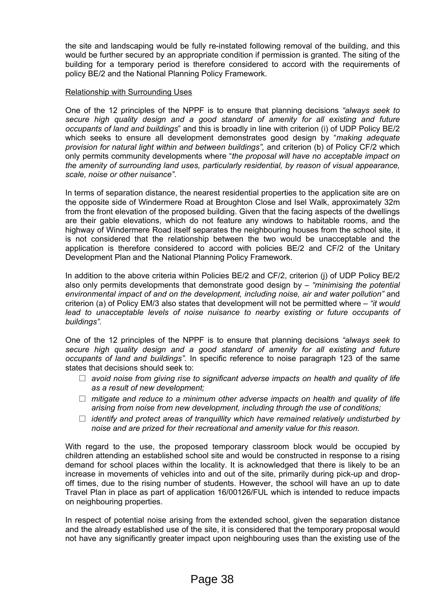the site and landscaping would be fully re-instated following removal of the building, and this would be further secured by an appropriate condition if permission is granted. The siting of the building for a temporary period is therefore considered to accord with the requirements of policy BE/2 and the National Planning Policy Framework.

# Relationship with Surrounding Uses

One of the 12 principles of the NPPF is to ensure that planning decisions *"always seek to secure high quality design and a good standard of amenity for all existing and future occupants of land and buildings*" and this is broadly in line with criterion (i) of UDP Policy BE/2 which seeks to ensure all development demonstrates good design by "*making adequate provision for natural light within and between buildings",* and criterion (b) of Policy CF/2 which only permits community developments where "*the proposal will have no acceptable impact on the amenity of surrounding land uses, particularly residential, by reason of visual appearance, scale, noise or other nuisance"*.

In terms of separation distance, the nearest residential properties to the application site are on the opposite side of Windermere Road at Broughton Close and Isel Walk, approximately 32m from the front elevation of the proposed building. Given that the facing aspects of the dwellings are their gable elevations, which do not feature any windows to habitable rooms, and the highway of Windermere Road itself separates the neighbouring houses from the school site, it is not considered that the relationship between the two would be unacceptable and the application is therefore considered to accord with policies BE/2 and CF/2 of the Unitary Development Plan and the National Planning Policy Framework.

In addition to the above criteria within Policies BE/2 and CF/2, criterion (j) of UDP Policy BE/2 also only permits developments that demonstrate good design by – *"minimising the potential environmental impact of and on the development, including noise, air and water pollution"* and criterion (a) of Policy EM/3 also states that development will not be permitted where – *"it would lead to unacceptable levels of noise nuisance to nearby existing or future occupants of buildings".*

One of the 12 principles of the NPPF is to ensure that planning decisions *"always seek to secure high quality design and a good standard of amenity for all existing and future occupants of land and buildings".* In specific reference to noise paragraph 123 of the same states that decisions should seek to:

- *avoid noise from giving rise to significant adverse impacts on health and quality of life as a result of new development;*
- *mitigate and reduce to a minimum other adverse impacts on health and quality of life arising from noise from new development, including through the use of conditions;*
- *identify and protect areas of tranquillity which have remained relatively undisturbed by noise and are prized for their recreational and amenity value for this reason.*

With regard to the use, the proposed temporary classroom block would be occupied by children attending an established school site and would be constructed in response to a rising demand for school places within the locality. It is acknowledged that there is likely to be an increase in movements of vehicles into and out of the site, primarily during pick-up and dropoff times, due to the rising number of students. However, the school will have an up to date Travel Plan in place as part of application 16/00126/FUL which is intended to reduce impacts on neighbouring properties.

In respect of potential noise arising from the extended school, given the separation distance and the already established use of the site, it is considered that the temporary proposal would not have any significantly greater impact upon neighbouring uses than the existing use of the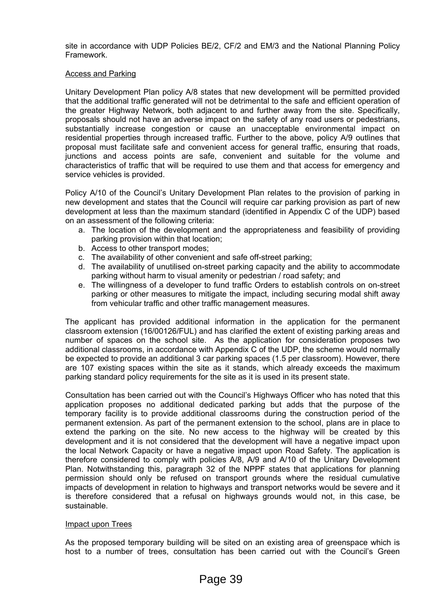site in accordance with UDP Policies BE/2, CF/2 and EM/3 and the National Planning Policy Framework.

# Access and Parking

Unitary Development Plan policy A/8 states that new development will be permitted provided that the additional traffic generated will not be detrimental to the safe and efficient operation of the greater Highway Network, both adjacent to and further away from the site. Specifically, proposals should not have an adverse impact on the safety of any road users or pedestrians, substantially increase congestion or cause an unacceptable environmental impact on residential properties through increased traffic. Further to the above, policy A/9 outlines that proposal must facilitate safe and convenient access for general traffic, ensuring that roads, junctions and access points are safe, convenient and suitable for the volume and characteristics of traffic that will be required to use them and that access for emergency and service vehicles is provided.

Policy A/10 of the Council's Unitary Development Plan relates to the provision of parking in new development and states that the Council will require car parking provision as part of new development at less than the maximum standard (identified in Appendix C of the UDP) based on an assessment of the following criteria:

- a. The location of the development and the appropriateness and feasibility of providing parking provision within that location;
- b. Access to other transport modes;
- c. The availability of other convenient and safe off-street parking;
- d. The availability of unutilised on-street parking capacity and the ability to accommodate parking without harm to visual amenity or pedestrian / road safety; and
- e. The willingness of a developer to fund traffic Orders to establish controls on on-street parking or other measures to mitigate the impact, including securing modal shift away from vehicular traffic and other traffic management measures.

The applicant has provided additional information in the application for the permanent classroom extension (16/00126/FUL) and has clarified the extent of existing parking areas and number of spaces on the school site. As the application for consideration proposes two additional classrooms, in accordance with Appendix C of the UDP, the scheme would normally be expected to provide an additional 3 car parking spaces (1.5 per classroom). However, there are 107 existing spaces within the site as it stands, which already exceeds the maximum parking standard policy requirements for the site as it is used in its present state.

Consultation has been carried out with the Council's Highways Officer who has noted that this application proposes no additional dedicated parking but adds that the purpose of the temporary facility is to provide additional classrooms during the construction period of the permanent extension. As part of the permanent extension to the school, plans are in place to extend the parking on the site. No new access to the highway will be created by this development and it is not considered that the development will have a negative impact upon the local Network Capacity or have a negative impact upon Road Safety. The application is therefore considered to comply with policies A/8, A/9 and A/10 of the Unitary Development Plan. Notwithstanding this, paragraph 32 of the NPPF states that applications for planning permission should only be refused on transport grounds where the residual cumulative impacts of development in relation to highways and transport networks would be severe and it is therefore considered that a refusal on highways grounds would not, in this case, be sustainable.

#### Impact upon Trees

As the proposed temporary building will be sited on an existing area of greenspace which is host to a number of trees, consultation has been carried out with the Council's Green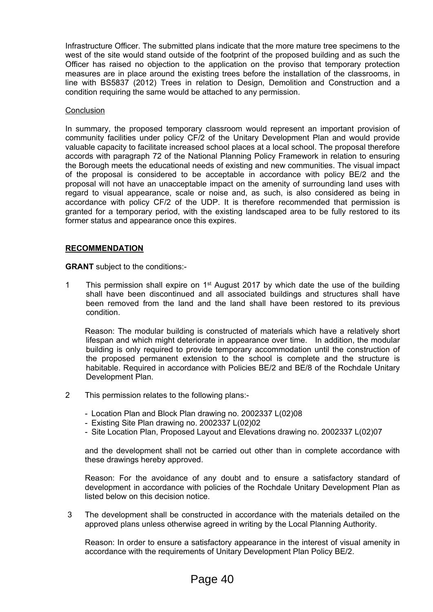Infrastructure Officer. The submitted plans indicate that the more mature tree specimens to the west of the site would stand outside of the footprint of the proposed building and as such the Officer has raised no objection to the application on the proviso that temporary protection measures are in place around the existing trees before the installation of the classrooms, in line with BS5837 (2012) Trees in relation to Design, Demolition and Construction and a condition requiring the same would be attached to any permission.

# **Conclusion**

In summary, the proposed temporary classroom would represent an important provision of community facilities under policy CF/2 of the Unitary Development Plan and would provide valuable capacity to facilitate increased school places at a local school. The proposal therefore accords with paragraph 72 of the National Planning Policy Framework in relation to ensuring the Borough meets the educational needs of existing and new communities. The visual impact of the proposal is considered to be acceptable in accordance with policy BE/2 and the proposal will not have an unacceptable impact on the amenity of surrounding land uses with regard to visual appearance, scale or noise and, as such, is also considered as being in accordance with policy CF/2 of the UDP. It is therefore recommended that permission is granted for a temporary period, with the existing landscaped area to be fully restored to its former status and appearance once this expires.

# **RECOMMENDATION**

**GRANT** subject to the conditions:-

1 This permission shall expire on 1<sup>st</sup> August 2017 by which date the use of the building shall have been discontinued and all associated buildings and structures shall have been removed from the land and the land shall have been restored to its previous condition.

Reason: The modular building is constructed of materials which have a relatively short lifespan and which might deteriorate in appearance over time. In addition, the modular building is only required to provide temporary accommodation until the construction of the proposed permanent extension to the school is complete and the structure is habitable. Required in accordance with Policies BE/2 and BE/8 of the Rochdale Unitary Development Plan.

- 2 This permission relates to the following plans:-
	- Location Plan and Block Plan drawing no. 2002337 L(02)08
	- Existing Site Plan drawing no. 2002337 L(02)02
	- Site Location Plan, Proposed Layout and Elevations drawing no. 2002337 L(02)07

and the development shall not be carried out other than in complete accordance with these drawings hereby approved.

Reason: For the avoidance of any doubt and to ensure a satisfactory standard of development in accordance with policies of the Rochdale Unitary Development Plan as listed below on this decision notice.

3 The development shall be constructed in accordance with the materials detailed on the approved plans unless otherwise agreed in writing by the Local Planning Authority.

Reason: In order to ensure a satisfactory appearance in the interest of visual amenity in accordance with the requirements of Unitary Development Plan Policy BE/2.